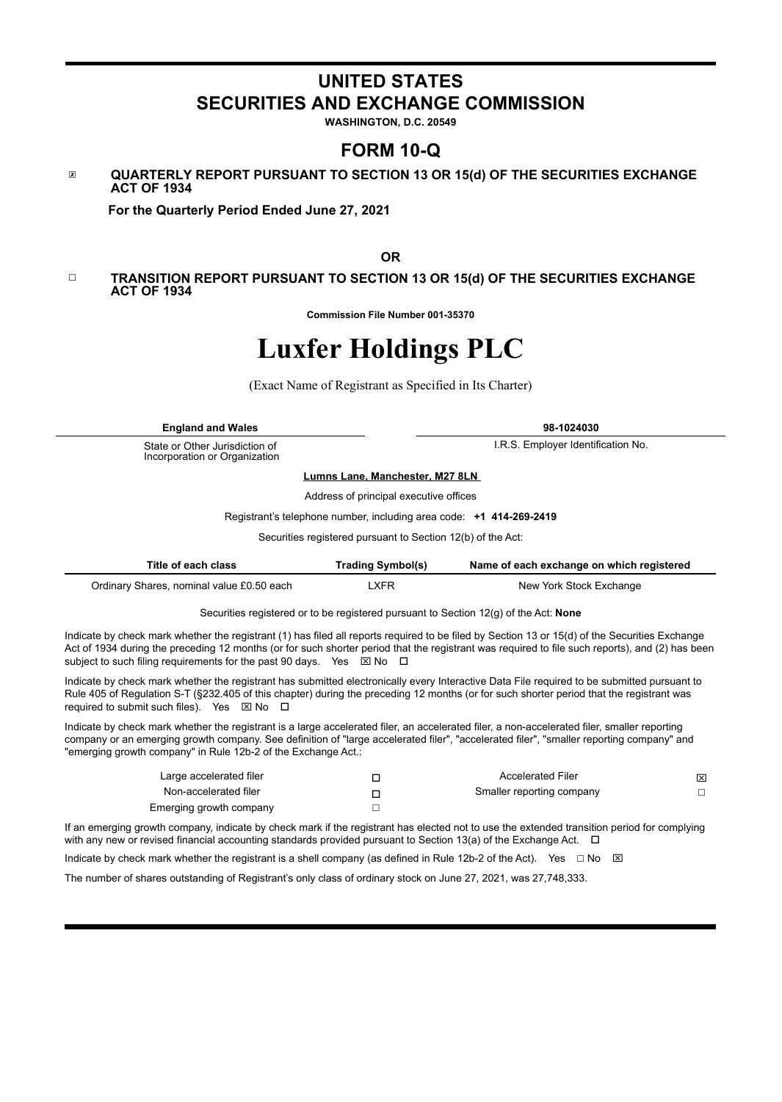# **UNITED STATES SECURITIES AND EXCHANGE COMMISSION**

**WASHINGTON, D.C. 20549**

# **FORM 10-Q**

# ☒ **QUARTERLY REPORT PURSUANT TO SECTION 13 OR 15(d) OF THE SECURITIES EXCHANGE ACT OF 1934**

 **For the Quarterly Period Ended June 27, 2021**

**OR**

#### ☐ **TRANSITION REPORT PURSUANT TO SECTION 13 OR 15(d) OF THE SECURITIES EXCHANGE ACT OF 1934**

**Commission File Number 001-35370**

# **Luxfer Holdings PLC**

(Exact Name of Registrant as Specified in Its Charter)

**England and Wales 98-1024030**

State or Other Jurisdiction of Incorporation or Organization

I.R.S. Employer Identification No.

**Lumns Lane, Manchester, M27 8LN**

Address of principal executive offices

Registrant's telephone number, including area code: **+1 414-269-2419**

Securities registered pursuant to Section 12(b) of the Act:

| Title of each class                       | <b>Trading Symbol(s)</b> | Name of each exchange on which registered |
|-------------------------------------------|--------------------------|-------------------------------------------|
| Ordinary Shares, nominal value £0.50 each | _XFR                     | New York Stock Exchange                   |

Securities registered or to be registered pursuant to Section 12(g) of the Act: **None**

Indicate by check mark whether the registrant (1) has filed all reports required to be filed by Section 13 or 15(d) of the Securities Exchange Act of 1934 during the preceding 12 months (or for such shorter period that the registrant was required to file such reports), and (2) has been subject to such filing requirements for the past 90 days. Yes  $\boxtimes$  No  $\Box$ 

Indicate by check mark whether the registrant has submitted electronically every Interactive Data File required to be submitted pursuant to Rule 405 of Regulation S-T (§232.405 of this chapter) during the preceding 12 months (or for such shorter period that the registrant was required to submit such files). Yes  $\boxtimes$  No  $\Box$ 

Indicate by check mark whether the registrant is a large accelerated filer, an accelerated filer, a non-accelerated filer, smaller reporting company or an emerging growth company. See definition of "large accelerated filer", "accelerated filer", "smaller reporting company" and "emerging growth company" in Rule 12b-2 of the Exchange Act.:

| Large accelerated filer | <b>Accelerated Filer</b>  | 囟 |
|-------------------------|---------------------------|---|
| Non-accelerated filer   | Smaller reporting company |   |
| Emerging growth company |                           |   |

If an emerging growth company, indicate by check mark if the registrant has elected not to use the extended transition period for complying with any new or revised financial accounting standards provided pursuant to Section 13(a) of the Exchange Act.  $\Box$ 

Indicate by check mark whether the registrant is a shell company (as defined in Rule 12b-2 of the Act). Yes  $\Box$  No  $\boxtimes$ 

The number of shares outstanding of Registrant's only class of ordinary stock on June 27, 2021, was 27,748,333.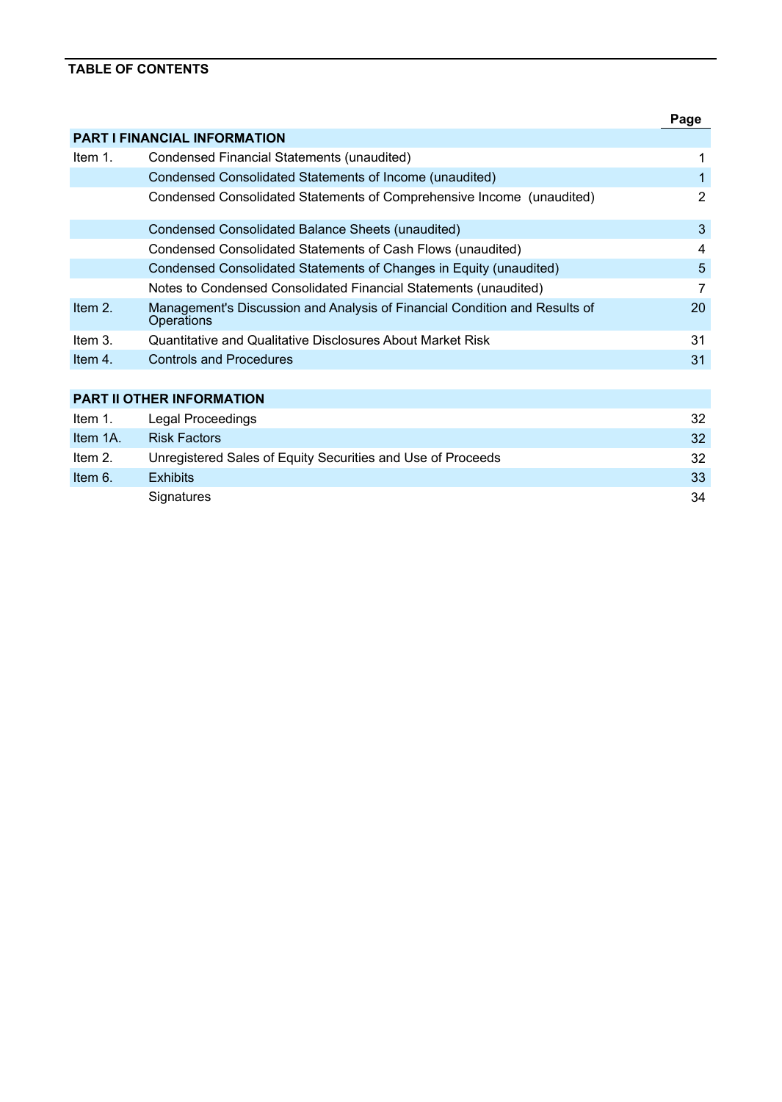# **TABLE OF CONTENTS**

|            |                                                                                                 | Page |
|------------|-------------------------------------------------------------------------------------------------|------|
|            | <b>PART I FINANCIAL INFORMATION</b>                                                             |      |
| Item $1$ . | Condensed Financial Statements (unaudited)                                                      |      |
|            | Condensed Consolidated Statements of Income (unaudited)                                         |      |
|            | Condensed Consolidated Statements of Comprehensive Income (unaudited)                           | 2    |
|            | Condensed Consolidated Balance Sheets (unaudited)                                               | 3    |
|            | Condensed Consolidated Statements of Cash Flows (unaudited)                                     | 4    |
|            | Condensed Consolidated Statements of Changes in Equity (unaudited)                              | 5    |
|            | Notes to Condensed Consolidated Financial Statements (unaudited)                                | 7    |
| Item $2.$  | Management's Discussion and Analysis of Financial Condition and Results of<br><b>Operations</b> | 20   |
| Item $31$  | Quantitative and Qualitative Disclosures About Market Risk                                      | 31   |
| Item 4.    | <b>Controls and Procedures</b>                                                                  | 31   |
|            |                                                                                                 |      |
|            | <b>PART II OTHER INFORMATION</b>                                                                |      |
| Item $1$ . | Legal Proceedings                                                                               | 32   |
| Item 1A.   | <b>Risk Factors</b>                                                                             | 32   |
| Item $2.$  | Unregistered Sales of Equity Securities and Use of Proceeds                                     | 32   |
| Item $6.$  | <b>Exhibits</b>                                                                                 | 33   |
|            | Signatures                                                                                      | 34   |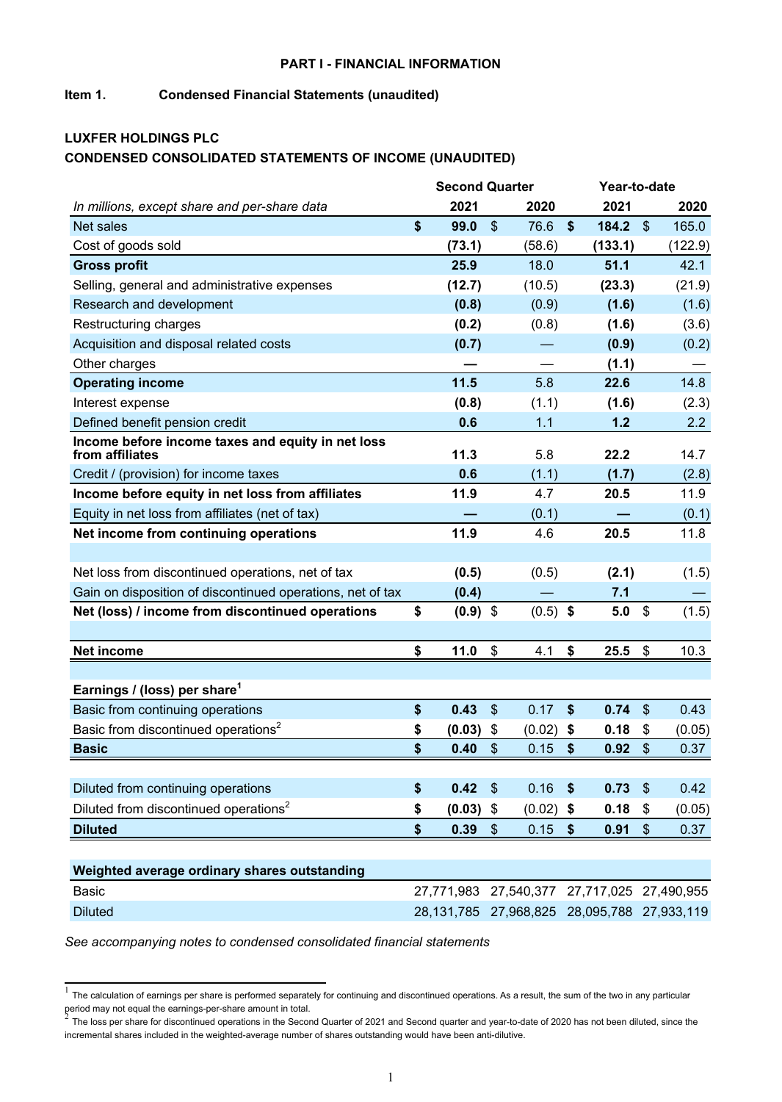#### **PART I - FINANCIAL INFORMATION**

# **Item 1. Condensed Financial Statements (unaudited)**

# **LUXFER HOLDINGS PLC CONDENSED CONSOLIDATED STATEMENTS OF INCOME (UNAUDITED)**

|                                                                      | <b>Second Quarter</b>                       |                           |            |                   |         | Year-to-date               |         |  |  |
|----------------------------------------------------------------------|---------------------------------------------|---------------------------|------------|-------------------|---------|----------------------------|---------|--|--|
| In millions, except share and per-share data                         | 2021                                        |                           | 2020       |                   | 2021    |                            | 2020    |  |  |
| Net sales                                                            | \$<br>99.0                                  | $\mathfrak{S}$            | 76.6       | $\boldsymbol{\$}$ | 184.2   | $\boldsymbol{\mathcal{S}}$ | 165.0   |  |  |
| Cost of goods sold                                                   | (73.1)                                      |                           | (58.6)     |                   | (133.1) |                            | (122.9) |  |  |
| <b>Gross profit</b>                                                  | 25.9                                        |                           | 18.0       |                   | 51.1    |                            | 42.1    |  |  |
| Selling, general and administrative expenses                         | (12.7)                                      |                           | (10.5)     |                   | (23.3)  |                            | (21.9)  |  |  |
| Research and development                                             | (0.8)                                       |                           | (0.9)      |                   | (1.6)   |                            | (1.6)   |  |  |
| Restructuring charges                                                | (0.2)                                       |                           | (0.8)      |                   | (1.6)   |                            | (3.6)   |  |  |
| Acquisition and disposal related costs                               | (0.7)                                       |                           |            |                   | (0.9)   |                            | (0.2)   |  |  |
| Other charges                                                        |                                             |                           |            |                   | (1.1)   |                            |         |  |  |
| <b>Operating income</b>                                              | 11.5                                        |                           | 5.8        |                   | 22.6    |                            | 14.8    |  |  |
| Interest expense                                                     | (0.8)                                       |                           | (1.1)      |                   | (1.6)   |                            | (2.3)   |  |  |
| Defined benefit pension credit                                       | 0.6                                         |                           | 1.1        |                   | 1.2     |                            | 2.2     |  |  |
| Income before income taxes and equity in net loss<br>from affiliates | 11.3                                        |                           | 5.8        |                   | 22.2    |                            | 14.7    |  |  |
| Credit / (provision) for income taxes                                | 0.6                                         |                           | (1.1)      |                   | (1.7)   |                            | (2.8)   |  |  |
| Income before equity in net loss from affiliates                     | 11.9                                        |                           | 4.7        |                   | 20.5    |                            | 11.9    |  |  |
| Equity in net loss from affiliates (net of tax)                      |                                             |                           | (0.1)      |                   |         |                            | (0.1)   |  |  |
| Net income from continuing operations                                | 11.9                                        |                           | 4.6        |                   | 20.5    |                            | 11.8    |  |  |
|                                                                      |                                             |                           |            |                   |         |                            |         |  |  |
| Net loss from discontinued operations, net of tax                    | (0.5)                                       |                           | (0.5)      |                   | (2.1)   |                            | (1.5)   |  |  |
| Gain on disposition of discontinued operations, net of tax           | (0.4)                                       |                           |            |                   | 7.1     |                            |         |  |  |
| Net (loss) / income from discontinued operations                     | \$<br>$(0.9)$ \$                            |                           | $(0.5)$ \$ |                   | 5.0     | \$                         | (1.5)   |  |  |
|                                                                      |                                             |                           |            |                   |         |                            |         |  |  |
| <b>Net income</b>                                                    | \$<br>11.0                                  | \$                        | 4.1        | \$                | 25.5    | \$                         | 10.3    |  |  |
|                                                                      |                                             |                           |            |                   |         |                            |         |  |  |
| Earnings / (loss) per share <sup>1</sup>                             |                                             |                           |            |                   |         |                            |         |  |  |
| Basic from continuing operations                                     | \$<br>0.43                                  | $\boldsymbol{\mathsf{S}}$ | 0.17       | $\boldsymbol{\$}$ | 0.74    | $\boldsymbol{\mathsf{S}}$  | 0.43    |  |  |
| Basic from discontinued operations <sup>2</sup>                      | \$<br>(0.03)                                | \$                        | (0.02)     | \$                | 0.18    | \$                         | (0.05)  |  |  |
| <b>Basic</b>                                                         | \$<br>0.40                                  | $\boldsymbol{\mathsf{S}}$ | 0.15       | \$                | 0.92    | \$                         | 0.37    |  |  |
|                                                                      |                                             |                           |            |                   |         |                            |         |  |  |
| Diluted from continuing operations                                   | \$<br>0.42                                  | $\mathsf{\$}$             | 0.16       | $\sqrt{5}$        | 0.73    | $\sqrt[6]{\frac{1}{2}}$    | 0.42    |  |  |
| Diluted from discontinued operations <sup>2</sup>                    | \$<br>(0.03)                                | \$                        | (0.02)     | \$                | 0.18    | \$                         | (0.05)  |  |  |
| <b>Diluted</b>                                                       | \$<br>0.39                                  | \$                        | 0.15       | \$                | 0.91    | $\$\$                      | 0.37    |  |  |
|                                                                      |                                             |                           |            |                   |         |                            |         |  |  |
| Weighted average ordinary shares outstanding                         |                                             |                           |            |                   |         |                            |         |  |  |
| <b>Basic</b>                                                         | 27,771,983 27,540,377 27,717,025 27,490,955 |                           |            |                   |         |                            |         |  |  |
| <b>Diluted</b>                                                       | 28,131,785 27,968,825 28,095,788 27,933,119 |                           |            |                   |         |                            |         |  |  |

 $1$  The calculation of earnings per share is performed separately for continuing and discontinued operations. As a result, the sum of the two in any particular period may not equal the earnings-per-share amount in total.<br><sup>2</sup> The last near these families at investigating in the Ocean

The loss per share for discontinued operations in the Second Quarter of 2021 and Second quarter and year-to-date of 2020 has not been diluted, since the incremental shares included in the weighted-average number of shares outstanding would have been anti-dilutive.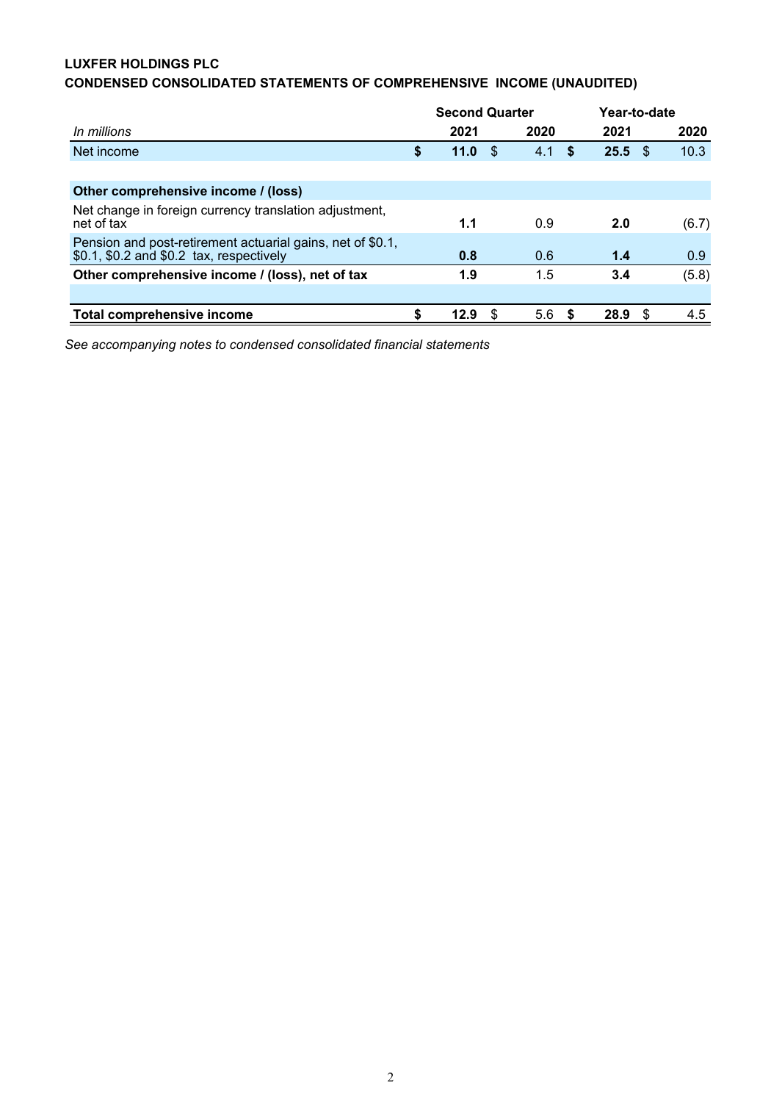# **LUXFER HOLDINGS PLC**

# **CONDENSED CONSOLIDATED STATEMENTS OF COMPREHENSIVE INCOME (UNAUDITED)**

|                                                                                                        |    | <b>Second Quarter</b> |   |      |      | Year-to-date |      |       |
|--------------------------------------------------------------------------------------------------------|----|-----------------------|---|------|------|--------------|------|-------|
| In millions                                                                                            |    | 2021                  |   | 2020 |      | 2021         |      | 2020  |
| Net income                                                                                             | \$ | 11.0                  | S | 4.1  | S    | 25.5         | - \$ | 10.3  |
|                                                                                                        |    |                       |   |      |      |              |      |       |
| Other comprehensive income / (loss)                                                                    |    |                       |   |      |      |              |      |       |
| Net change in foreign currency translation adjustment,<br>net of tax                                   |    | 1.1                   |   | 0.9  |      | 2.0          |      | (6.7) |
| Pension and post-retirement actuarial gains, net of \$0.1,<br>\$0.1, \$0.2 and \$0.2 tax, respectively |    | 0.8                   |   | 0.6  |      | 1.4          |      | 0.9   |
| Other comprehensive income / (loss), net of tax                                                        |    | 1.9                   |   | 1.5  |      | 3.4          |      | (5.8) |
|                                                                                                        |    |                       |   |      |      |              |      |       |
| Total comprehensive income                                                                             | S  | 12.9                  | S | 5.6  | - \$ | 28.9         | - \$ | 4.5   |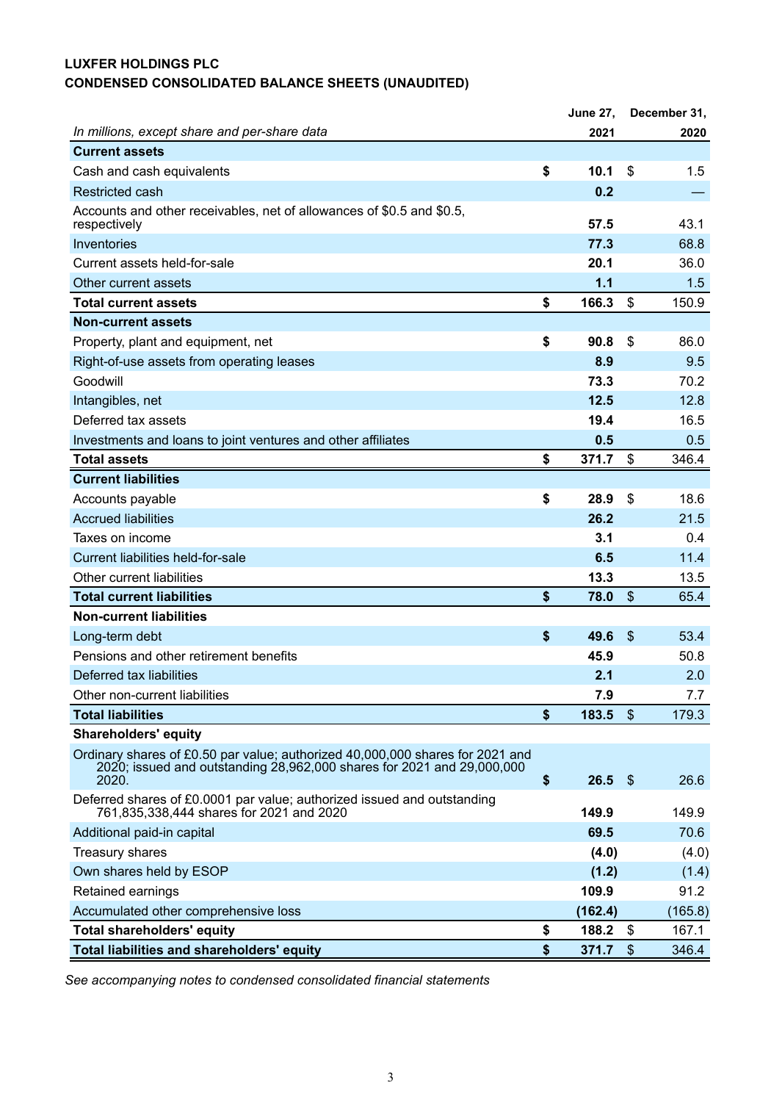# **LUXFER HOLDINGS PLC CONDENSED CONSOLIDATED BALANCE SHEETS (UNAUDITED)**

|                                                                                                                                                                  | <b>June 27,</b> |               | December 31, |
|------------------------------------------------------------------------------------------------------------------------------------------------------------------|-----------------|---------------|--------------|
| In millions, except share and per-share data                                                                                                                     | 2021            |               | 2020         |
| <b>Current assets</b>                                                                                                                                            |                 |               |              |
| Cash and cash equivalents                                                                                                                                        | \$<br>10.1      | \$            | $1.5\,$      |
| <b>Restricted cash</b>                                                                                                                                           | 0.2             |               |              |
| Accounts and other receivables, net of allowances of \$0.5 and \$0.5,<br>respectively                                                                            | 57.5            |               | 43.1         |
| Inventories                                                                                                                                                      | 77.3            |               | 68.8         |
| Current assets held-for-sale                                                                                                                                     | 20.1            |               | 36.0         |
| Other current assets                                                                                                                                             | 1.1             |               | 1.5          |
| <b>Total current assets</b>                                                                                                                                      | \$<br>166.3     | \$            | 150.9        |
| <b>Non-current assets</b>                                                                                                                                        |                 |               |              |
| Property, plant and equipment, net                                                                                                                               | \$<br>90.8      | \$            | 86.0         |
| Right-of-use assets from operating leases                                                                                                                        | 8.9             |               | 9.5          |
| Goodwill                                                                                                                                                         | 73.3            |               | 70.2         |
| Intangibles, net                                                                                                                                                 | 12.5            |               | 12.8         |
| Deferred tax assets                                                                                                                                              | 19.4            |               | 16.5         |
| Investments and loans to joint ventures and other affiliates                                                                                                     | 0.5             |               | 0.5          |
| <b>Total assets</b>                                                                                                                                              | \$<br>371.7     | \$            | 346.4        |
| <b>Current liabilities</b>                                                                                                                                       |                 |               |              |
| Accounts payable                                                                                                                                                 | \$<br>28.9      | \$            | 18.6         |
| <b>Accrued liabilities</b>                                                                                                                                       | 26.2            |               | 21.5         |
| Taxes on income                                                                                                                                                  | 3.1             |               | 0.4          |
| Current liabilities held-for-sale                                                                                                                                | 6.5             |               | 11.4         |
| Other current liabilities                                                                                                                                        | 13.3            |               | 13.5         |
| <b>Total current liabilities</b>                                                                                                                                 | \$<br>78.0      | $\frac{1}{2}$ | 65.4         |
| <b>Non-current liabilities</b>                                                                                                                                   |                 |               |              |
| Long-term debt                                                                                                                                                   | \$<br>49.6      | \$            | 53.4         |
| Pensions and other retirement benefits                                                                                                                           | 45.9            |               | 50.8         |
| Deferred tax liabilities                                                                                                                                         | 2.1             |               | 2.0          |
| Other non-current liabilities                                                                                                                                    | 7.9             |               | 7.7          |
| <b>Total liabilities</b>                                                                                                                                         | \$<br>183.5     | \$            | 179.3        |
| <b>Shareholders' equity</b>                                                                                                                                      |                 |               |              |
| Ordinary shares of £0.50 par value; authorized 40,000,000 shares for 2021 and<br>2020; issued and outstanding 28,962,000 shares for 2021 and 29,000,000<br>2020. | \$<br>26.5      | $\sqrt{3}$    | 26.6         |
| Deferred shares of £0.0001 par value; authorized issued and outstanding                                                                                          |                 |               |              |
| 761,835,338,444 shares for 2021 and 2020                                                                                                                         | 149.9           |               | 149.9        |
| Additional paid-in capital                                                                                                                                       | 69.5            |               | 70.6         |
| <b>Treasury shares</b>                                                                                                                                           | (4.0)           |               | (4.0)        |
| Own shares held by ESOP                                                                                                                                          | (1.2)           |               | (1.4)        |
| Retained earnings                                                                                                                                                | 109.9           |               | 91.2         |
| Accumulated other comprehensive loss                                                                                                                             | (162.4)         |               | (165.8)      |
| <b>Total shareholders' equity</b>                                                                                                                                | \$<br>188.2     | \$            | 167.1        |
| Total liabilities and shareholders' equity                                                                                                                       | \$<br>371.7     | \$            | 346.4        |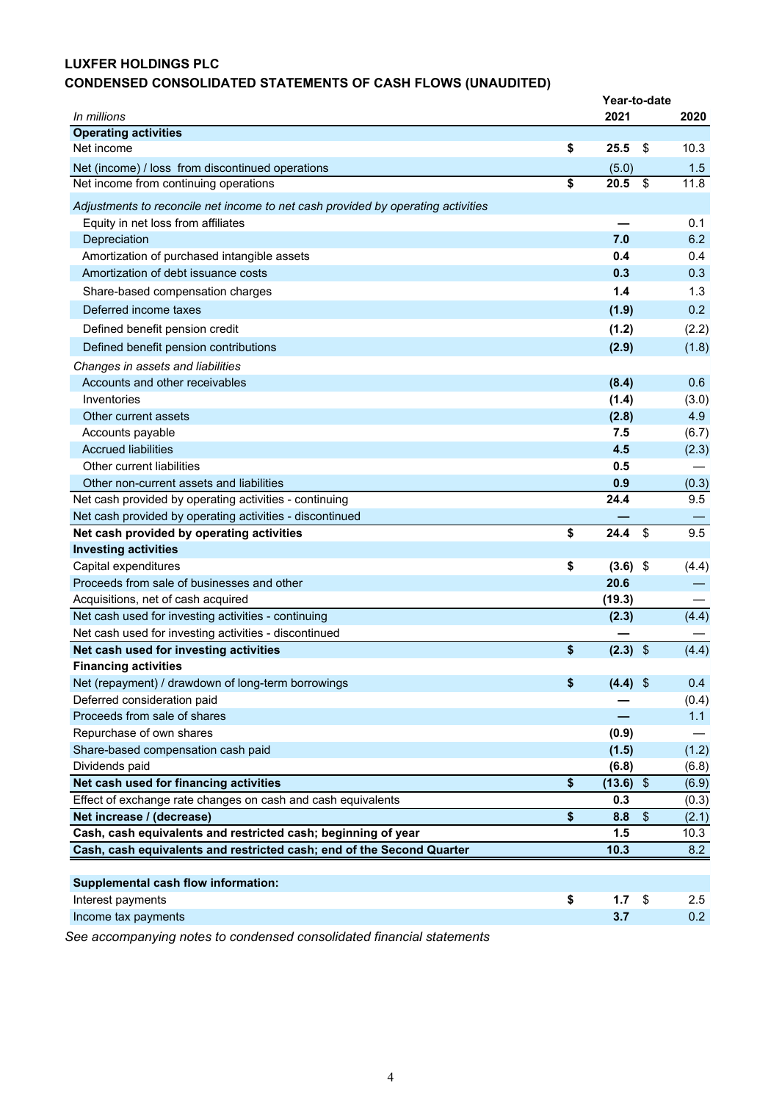# **LUXFER HOLDINGS PLC**

# **CONDENSED CONSOLIDATED STATEMENTS OF CASH FLOWS (UNAUDITED)**

|                                                                                  | Year-to-date     |                                  |
|----------------------------------------------------------------------------------|------------------|----------------------------------|
| In millions                                                                      | 2021             | 2020                             |
| <b>Operating activities</b>                                                      |                  |                                  |
| Net income                                                                       | \$<br>25.5       | \$<br>10.3                       |
| Net (income) / loss from discontinued operations                                 | (5.0)            | 1.5                              |
| Net income from continuing operations                                            | \$<br>20.5       | \$<br>11.8                       |
| Adjustments to reconcile net income to net cash provided by operating activities |                  |                                  |
| Equity in net loss from affiliates                                               |                  | 0.1                              |
| Depreciation                                                                     | 7.0              | 6.2                              |
| Amortization of purchased intangible assets                                      | 0.4              | 0.4                              |
| Amortization of debt issuance costs                                              | 0.3              | 0.3                              |
| Share-based compensation charges                                                 | 1.4              | 1.3                              |
| Deferred income taxes                                                            | (1.9)            | 0.2                              |
| Defined benefit pension credit                                                   | (1.2)            | (2.2)                            |
| Defined benefit pension contributions                                            | (2.9)            | (1.8)                            |
| Changes in assets and liabilities                                                |                  |                                  |
| Accounts and other receivables                                                   | (8.4)            | 0.6                              |
| Inventories                                                                      | (1.4)            | (3.0)                            |
| Other current assets                                                             | (2.8)            | 4.9                              |
| Accounts payable                                                                 | 7.5              | (6.7)                            |
| <b>Accrued liabilities</b>                                                       | 4.5              | (2.3)                            |
| Other current liabilities                                                        | 0.5              |                                  |
| Other non-current assets and liabilities                                         | 0.9              | (0.3)                            |
| Net cash provided by operating activities - continuing                           | 24.4             | 9.5                              |
| Net cash provided by operating activities - discontinued                         |                  |                                  |
| Net cash provided by operating activities                                        | \$<br>24.4       | $\sqrt{2}$<br>9.5                |
| <b>Investing activities</b>                                                      |                  |                                  |
| Capital expenditures                                                             | \$<br>$(3.6)$ \$ | (4.4)                            |
| Proceeds from sale of businesses and other                                       | 20.6             |                                  |
| Acquisitions, net of cash acquired                                               | (19.3)           |                                  |
| Net cash used for investing activities - continuing                              | (2.3)            | (4.4)                            |
| Net cash used for investing activities - discontinued                            |                  |                                  |
| Net cash used for investing activities                                           | \$<br>$(2.3)$ \$ | (4.4)                            |
| <b>Financing activities</b>                                                      |                  |                                  |
| Net (repayment) / drawdown of long-term borrowings                               | \$<br>$(4.4)$ \$ | 0.4                              |
| Deferred consideration paid                                                      |                  | (0.4)                            |
| Proceeds from sale of shares                                                     |                  | 1.1                              |
| Repurchase of own shares                                                         | (0.9)            |                                  |
| Share-based compensation cash paid                                               | (1.5)            | (1.2)                            |
| Dividends paid                                                                   | (6.8)            | (6.8)                            |
| Net cash used for financing activities                                           | \$<br>(13.6)     | $\sqrt{2}$<br>(6.9)              |
| Effect of exchange rate changes on cash and cash equivalents                     | 0.3              | (0.3)                            |
| Net increase / (decrease)                                                        | \$<br>8.8        | $\sqrt[6]{\frac{1}{2}}$<br>(2.1) |
| Cash, cash equivalents and restricted cash; beginning of year                    | 1.5              | 10.3                             |
| Cash, cash equivalents and restricted cash; end of the Second Quarter            | 10.3             | 8.2                              |
|                                                                                  |                  |                                  |
| <b>Supplemental cash flow information:</b>                                       |                  |                                  |
| Interest payments                                                                | \$<br>1.7        | \$<br>2.5                        |
| Income tax payments                                                              | 3.7              | 0.2                              |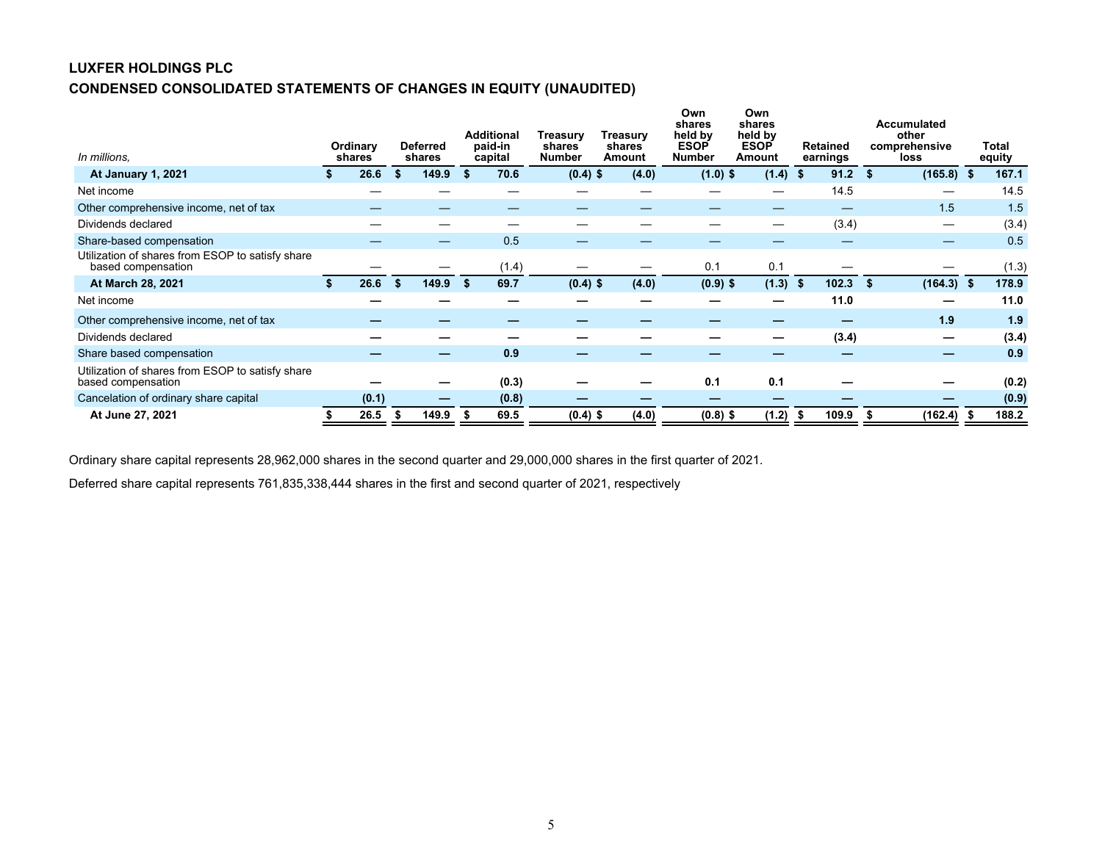# **LUXFER HOLDINGS PLC CONDENSED CONSOLIDATED STATEMENTS OF CHANGES IN EQUITY (UNAUDITED)**

| In millions.                                                           | <b>Ordinary</b><br>shares |   | <b>Deferred</b><br>shares |      | <b>Additional</b><br>paid-in<br>capital | Treasury<br>shares<br>Number | Treasurv<br>shares<br>Amount | Own<br>shares<br>held by<br><b>ESOP</b><br><b>Number</b> | Own<br>shares<br>held by<br><b>ESOP</b><br>Amount |     | <b>Retained</b><br>earnings | <b>Accumulated</b><br>other<br>comprehensive<br>loss | Total<br>equity |
|------------------------------------------------------------------------|---------------------------|---|---------------------------|------|-----------------------------------------|------------------------------|------------------------------|----------------------------------------------------------|---------------------------------------------------|-----|-----------------------------|------------------------------------------------------|-----------------|
| At January 1, 2021                                                     | 26.6                      | S | 149.9                     | - \$ | 70.6                                    | $(0.4)$ \$                   | (4.0)                        | $(1.0)$ \$                                               | $(1.4)$ \$                                        |     | 91.2                        | (165.8)<br>- \$                                      | 167.1           |
| Net income                                                             |                           |   |                           |      |                                         |                              |                              |                                                          |                                                   |     | 14.5                        |                                                      | 14.5            |
| Other comprehensive income, net of tax                                 |                           |   |                           |      |                                         |                              |                              |                                                          |                                                   |     |                             | 1.5                                                  | 1.5             |
| Dividends declared                                                     |                           |   |                           |      |                                         |                              |                              |                                                          |                                                   |     | (3.4)                       |                                                      | (3.4)           |
| Share-based compensation                                               |                           |   |                           |      | 0.5                                     |                              |                              |                                                          |                                                   |     |                             |                                                      | 0.5             |
| Utilization of shares from ESOP to satisfy share<br>based compensation |                           |   |                           |      | (1.4)                                   |                              |                              | 0.1                                                      | 0.1                                               |     |                             |                                                      | (1.3)           |
| At March 28, 2021                                                      | 26.6                      | S | 149.9                     | - 56 | 69.7                                    | $(0.4)$ \$                   | (4.0)                        | $(0.9)$ \$                                               | (1.3)                                             | - 5 | 102.3                       | (164.3)<br>-56                                       | 178.9           |
| Net income                                                             |                           |   |                           |      |                                         |                              |                              |                                                          |                                                   |     | 11.0                        |                                                      | 11.0            |
| Other comprehensive income, net of tax                                 |                           |   |                           |      |                                         |                              |                              |                                                          |                                                   |     |                             | 1.9                                                  | 1.9             |
| Dividends declared                                                     |                           |   |                           |      |                                         |                              |                              |                                                          |                                                   |     | (3.4)                       |                                                      | (3.4)           |
| Share based compensation                                               |                           |   |                           |      | 0.9                                     |                              |                              |                                                          |                                                   |     |                             |                                                      | 0.9             |
| Utilization of shares from ESOP to satisfy share<br>based compensation |                           |   |                           |      | (0.3)                                   |                              |                              | 0.1                                                      | 0.1                                               |     |                             |                                                      | (0.2)           |
| Cancelation of ordinary share capital                                  | (0.1)                     |   |                           |      | (0.8)                                   |                              |                              |                                                          |                                                   |     |                             |                                                      | (0.9)           |
| At June 27, 2021                                                       | 26.5                      | Ъ | 149.9                     |      | 69.5                                    | $(0.4)$ \$                   | (4.0)                        | $(0.8)$ \$                                               | (1.2)                                             | ъ,  | 109.9                       | (162.4)                                              | 188.2           |

Ordinary share capital represents 28,962,000 shares in the second quarter and 29,000,000 shares in the first quarter of 2021.

Deferred share capital represents 761,835,338,444 shares in the first and second quarter of 2021, respectively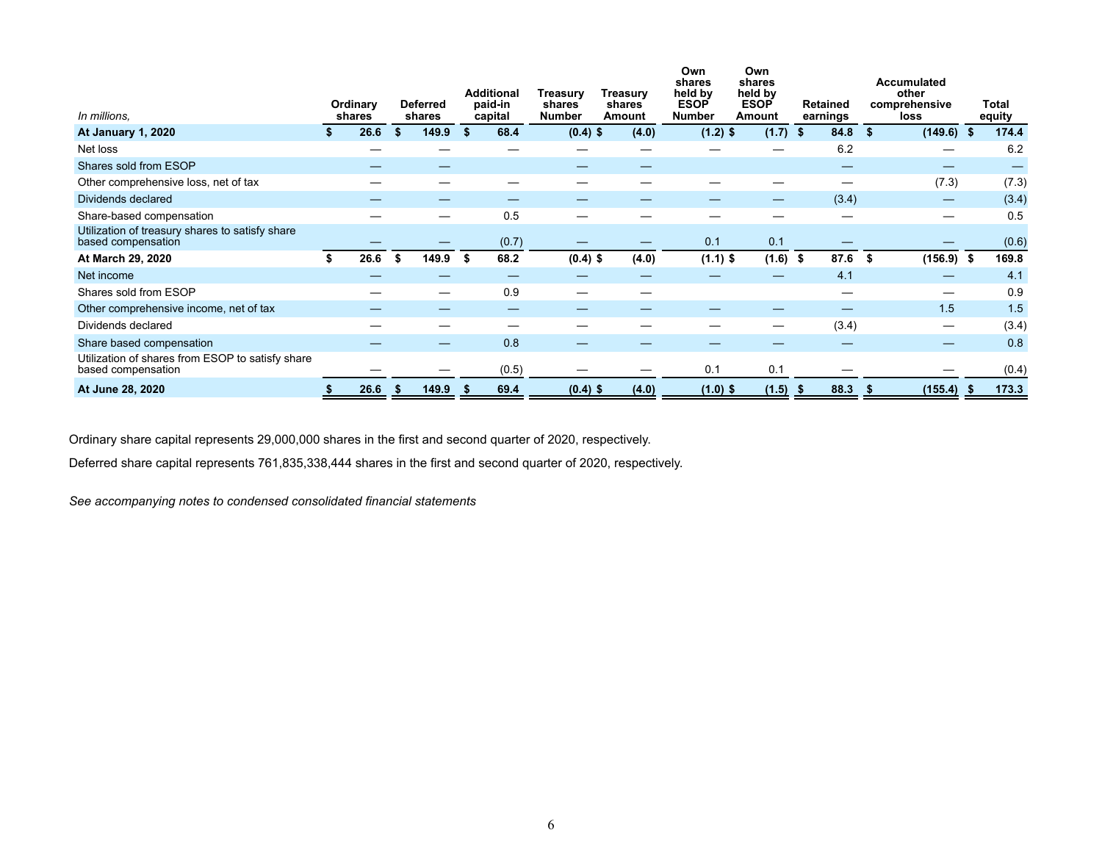| In millions,                                                           | Ordinary<br>shares |    | <b>Deferred</b><br>shares |     | <b>Additional</b><br>paid-in<br>capital | Treasurv<br>shares<br><b>Number</b> | <b>Treasury</b><br>shares<br>Amount |       | Own<br>shares<br>held by<br><b>ESOP</b><br><b>Number</b> | Own<br>shares<br>held by<br><b>ESOP</b><br>Amount |      | <b>Retained</b><br>earnings |      | <b>Accumulated</b><br>other<br>comprehensive<br>loss |     | Total<br>equity |
|------------------------------------------------------------------------|--------------------|----|---------------------------|-----|-----------------------------------------|-------------------------------------|-------------------------------------|-------|----------------------------------------------------------|---------------------------------------------------|------|-----------------------------|------|------------------------------------------------------|-----|-----------------|
| At January 1, 2020                                                     | 26.6               | \$ | 149.9                     | \$. | 68.4                                    | $(0.4)$ \$                          |                                     | (4.0) | $(1.2)$ \$                                               | $(1.7)$ \$                                        |      | 84.8                        | \$   | (149.6)                                              | \$  | 174.4           |
| Net loss                                                               |                    |    |                           |     |                                         |                                     |                                     |       |                                                          |                                                   |      | 6.2                         |      |                                                      |     | 6.2             |
| Shares sold from ESOP                                                  |                    |    |                           |     |                                         |                                     |                                     |       |                                                          |                                                   |      |                             |      |                                                      |     |                 |
| Other comprehensive loss, net of tax                                   |                    |    |                           |     |                                         |                                     |                                     |       |                                                          |                                                   |      |                             |      | (7.3)                                                |     | (7.3)           |
| Dividends declared                                                     |                    |    |                           |     |                                         |                                     |                                     |       |                                                          |                                                   |      | (3.4)                       |      |                                                      |     | (3.4)           |
| Share-based compensation                                               |                    |    |                           |     | 0.5                                     |                                     |                                     |       |                                                          |                                                   |      |                             |      |                                                      |     | 0.5             |
| Utilization of treasury shares to satisfy share<br>based compensation  |                    |    |                           |     | (0.7)                                   |                                     |                                     |       | 0.1                                                      | 0.1                                               |      |                             |      |                                                      |     | (0.6)           |
| At March 29, 2020                                                      | 26.6               | S  | 149.9                     |     | 68.2                                    | $(0.4)$ \$                          |                                     | (4.0) | $(1.1)$ \$                                               | (1.6)                                             | - \$ | 87.6                        | -55  | (156.9)                                              | -\$ | 169.8           |
| Net income                                                             |                    |    |                           |     |                                         |                                     |                                     |       |                                                          |                                                   |      | 4.1                         |      | –                                                    |     | 4.1             |
| Shares sold from ESOP                                                  |                    |    |                           |     | 0.9                                     |                                     |                                     |       |                                                          |                                                   |      |                             |      | —                                                    |     | 0.9             |
| Other comprehensive income, net of tax                                 |                    |    |                           |     |                                         |                                     |                                     |       |                                                          |                                                   |      |                             |      | 1.5                                                  |     | 1.5             |
| Dividends declared                                                     |                    |    |                           |     |                                         |                                     |                                     |       |                                                          | —                                                 |      | (3.4)                       |      |                                                      |     | (3.4)           |
| Share based compensation                                               |                    |    |                           |     | 0.8                                     |                                     |                                     |       |                                                          |                                                   |      |                             |      |                                                      |     | 0.8             |
| Utilization of shares from ESOP to satisfy share<br>based compensation |                    |    |                           |     | (0.5)                                   |                                     |                                     |       | 0.1                                                      | 0.1                                               |      |                             |      |                                                      |     | (0.4)           |
| At June 28, 2020                                                       | 26.6               | ж  | 149.9                     |     | 69.4                                    | $(0.4)$ \$                          |                                     | (4.0) | $(1.0)$ \$                                               | (1.5)                                             | - \$ | 88.3                        | - 35 | (155.4)                                              |     | 173.3           |

Ordinary share capital represents 29,000,000 shares in the first and second quarter of 2020, respectively.

Deferred share capital represents 761,835,338,444 shares in the first and second quarter of 2020, respectively.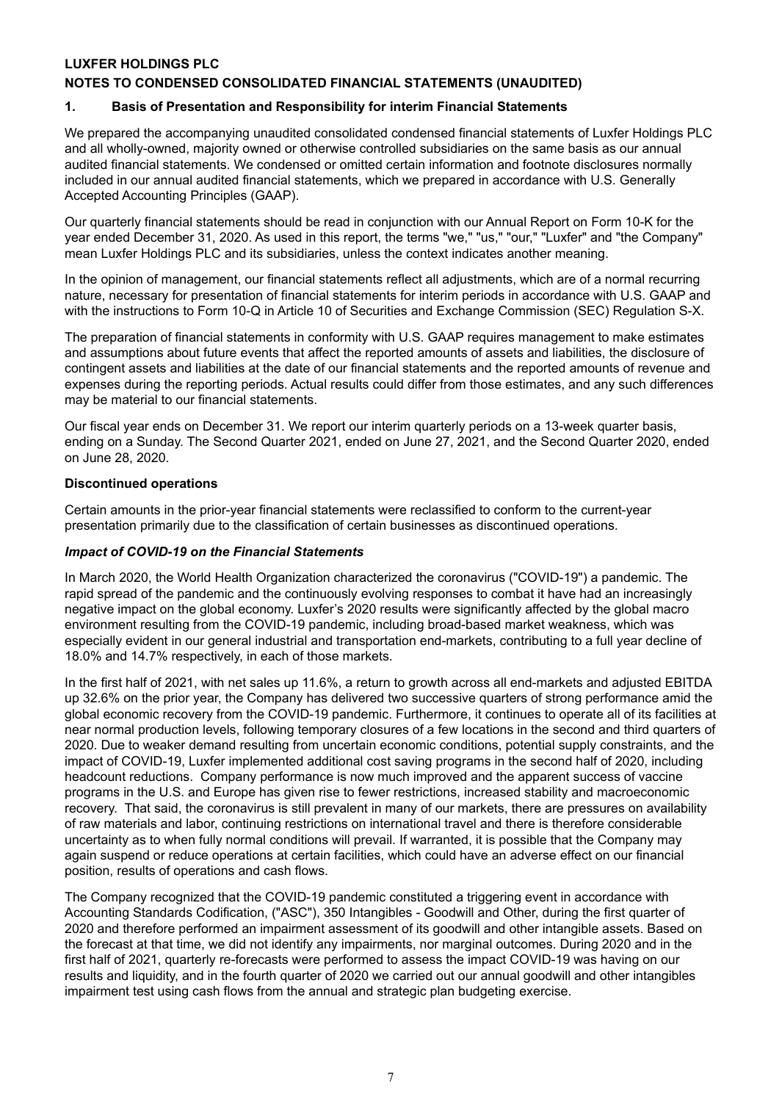# **LUXFER HOLDINGS PLC**

# **NOTES TO CONDENSED CONSOLIDATED FINANCIAL STATEMENTS (UNAUDITED)**

# **1. Basis of Presentation and Responsibility for interim Financial Statements**

We prepared the accompanying unaudited consolidated condensed financial statements of Luxfer Holdings PLC and all wholly-owned, majority owned or otherwise controlled subsidiaries on the same basis as our annual audited financial statements. We condensed or omitted certain information and footnote disclosures normally included in our annual audited financial statements, which we prepared in accordance with U.S. Generally Accepted Accounting Principles (GAAP).

Our quarterly financial statements should be read in conjunction with our Annual Report on Form 10-K for the year ended December 31, 2020. As used in this report, the terms "we," "us," "our," "Luxfer" and "the Company" mean Luxfer Holdings PLC and its subsidiaries, unless the context indicates another meaning.

In the opinion of management, our financial statements reflect all adjustments, which are of a normal recurring nature, necessary for presentation of financial statements for interim periods in accordance with U.S. GAAP and with the instructions to Form 10-Q in Article 10 of Securities and Exchange Commission (SEC) Regulation S-X.

The preparation of financial statements in conformity with U.S. GAAP requires management to make estimates and assumptions about future events that affect the reported amounts of assets and liabilities, the disclosure of contingent assets and liabilities at the date of our financial statements and the reported amounts of revenue and expenses during the reporting periods. Actual results could differ from those estimates, and any such differences may be material to our financial statements.

Our fiscal year ends on December 31. We report our interim quarterly periods on a 13-week quarter basis, ending on a Sunday. The Second Quarter 2021, ended on June 27, 2021, and the Second Quarter 2020, ended on June 28, 2020.

#### **Discontinued operations**

Certain amounts in the prior-year financial statements were reclassified to conform to the current-year presentation primarily due to the classification of certain businesses as discontinued operations.

#### *Impact of COVID-19 on the Financial Statements*

In March 2020, the World Health Organization characterized the coronavirus ("COVID-19") a pandemic. The rapid spread of the pandemic and the continuously evolving responses to combat it have had an increasingly negative impact on the global economy. Luxfer's 2020 results were significantly affected by the global macro environment resulting from the COVID-19 pandemic, including broad-based market weakness, which was especially evident in our general industrial and transportation end-markets, contributing to a full year decline of 18.0% and 14.7% respectively, in each of those markets.

In the first half of 2021, with net sales up 11.6%, a return to growth across all end-markets and adjusted EBITDA up 32.6% on the prior year, the Company has delivered two successive quarters of strong performance amid the global economic recovery from the COVID-19 pandemic. Furthermore, it continues to operate all of its facilities at near normal production levels, following temporary closures of a few locations in the second and third quarters of 2020. Due to weaker demand resulting from uncertain economic conditions, potential supply constraints, and the impact of COVID-19, Luxfer implemented additional cost saving programs in the second half of 2020, including headcount reductions. Company performance is now much improved and the apparent success of vaccine programs in the U.S. and Europe has given rise to fewer restrictions, increased stability and macroeconomic recovery. That said, the coronavirus is still prevalent in many of our markets, there are pressures on availability of raw materials and labor, continuing restrictions on international travel and there is therefore considerable uncertainty as to when fully normal conditions will prevail. If warranted, it is possible that the Company may again suspend or reduce operations at certain facilities, which could have an adverse effect on our financial position, results of operations and cash flows.

The Company recognized that the COVID-19 pandemic constituted a triggering event in accordance with Accounting Standards Codification, ("ASC"), 350 Intangibles - Goodwill and Other, during the first quarter of 2020 and therefore performed an impairment assessment of its goodwill and other intangible assets. Based on the forecast at that time, we did not identify any impairments, nor marginal outcomes. During 2020 and in the first half of 2021, quarterly re-forecasts were performed to assess the impact COVID-19 was having on our results and liquidity, and in the fourth quarter of 2020 we carried out our annual goodwill and other intangibles impairment test using cash flows from the annual and strategic plan budgeting exercise.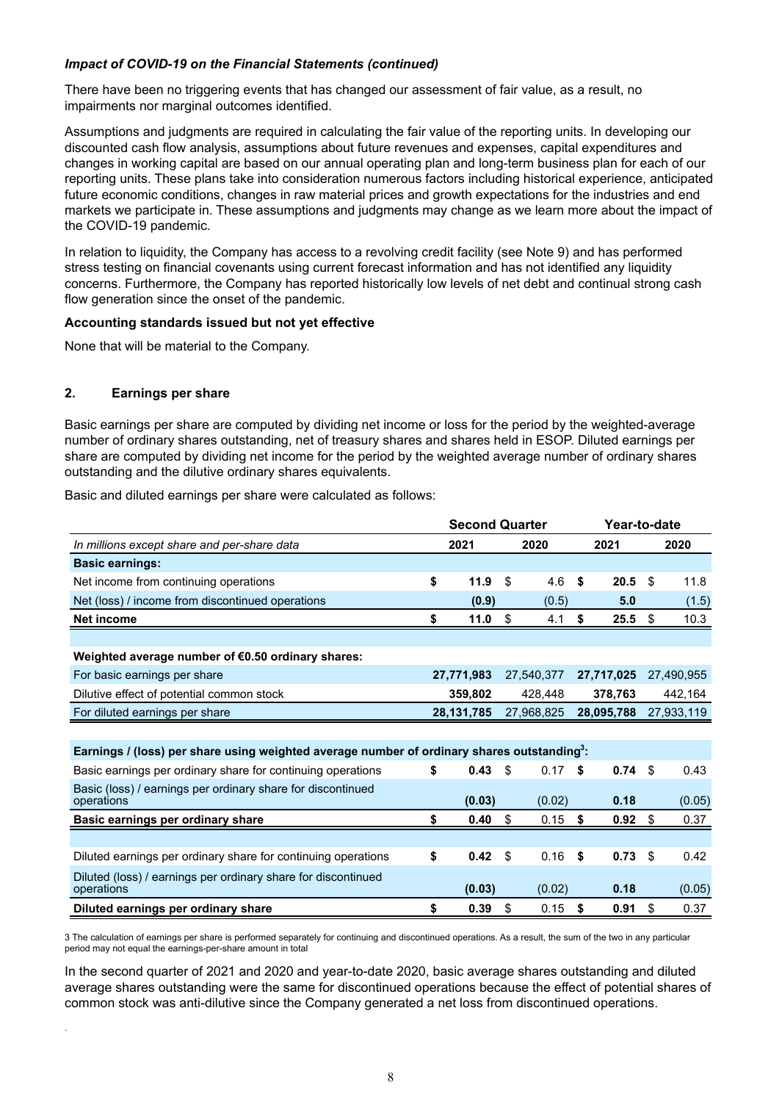# *Impact of COVID-19 on the Financial Statements (continued)*

There have been no triggering events that has changed our assessment of fair value, as a result, no impairments nor marginal outcomes identified.

Assumptions and judgments are required in calculating the fair value of the reporting units. In developing our discounted cash flow analysis, assumptions about future revenues and expenses, capital expenditures and changes in working capital are based on our annual operating plan and long-term business plan for each of our reporting units. These plans take into consideration numerous factors including historical experience, anticipated future economic conditions, changes in raw material prices and growth expectations for the industries and end markets we participate in. These assumptions and judgments may change as we learn more about the impact of the COVID-19 pandemic.

In relation to liquidity, the Company has access to a revolving credit facility (see Note 9) and has performed stress testing on financial covenants using current forecast information and has not identified any liquidity concerns. Furthermore, the Company has reported historically low levels of net debt and continual strong cash flow generation since the onset of the pandemic.

#### **Accounting standards issued but not yet effective**

None that will be material to the Company.

# **2. Earnings per share**

.

Basic earnings per share are computed by dividing net income or loss for the period by the weighted-average number of ordinary shares outstanding, net of treasury shares and shares held in ESOP. Diluted earnings per share are computed by dividing net income for the period by the weighted average number of ordinary shares outstanding and the dilutive ordinary shares equivalents.

Basic and diluted earnings per share were calculated as follows:

|                                                                                                         |         | <b>Second Quarter</b> |            |    |            | Year-to-date |            |  |
|---------------------------------------------------------------------------------------------------------|---------|-----------------------|------------|----|------------|--------------|------------|--|
| In millions except share and per-share data                                                             |         | 2021                  | 2020       |    | 2021       |              | 2020       |  |
| <b>Basic earnings:</b>                                                                                  |         |                       |            |    |            |              |            |  |
| Net income from continuing operations                                                                   | \$      | 11.9                  | \$<br>4.6  | S  | 20.5       | \$           | 11.8       |  |
| Net (loss) / income from discontinued operations                                                        |         | (0.9)                 | (0.5)      |    | 5.0        |              | (1.5)      |  |
| Net income                                                                                              | \$      | 11.0                  | \$<br>4.1  | \$ | 25.5       | S.           | 10.3       |  |
|                                                                                                         |         |                       |            |    |            |              |            |  |
| Weighted average number of €0.50 ordinary shares:                                                       |         |                       |            |    |            |              |            |  |
| For basic earnings per share                                                                            |         | 27,771,983            | 27,540,377 |    | 27,717,025 |              | 27,490,955 |  |
| Dilutive effect of potential common stock                                                               | 359,802 |                       | 428,448    |    | 378,763    |              | 442,164    |  |
| For diluted earnings per share                                                                          |         | 28, 131, 785          | 27,968,825 |    | 28,095,788 |              | 27,933,119 |  |
|                                                                                                         |         |                       |            |    |            |              |            |  |
| Earnings / (loss) per share using weighted average number of ordinary shares outstanding <sup>3</sup> : |         |                       |            |    |            |              |            |  |
| Basic earnings per ordinary share for continuing operations                                             | \$      | 0.43                  | \$<br>0.17 | \$ | 0.74       | \$           | 0.43       |  |
| Basic (loss) / earnings per ordinary share for discontinued                                             |         |                       |            |    |            |              |            |  |
| operations                                                                                              |         | (0.03)                | (0.02)     |    | 0.18       |              | (0.05)     |  |
| Basic earnings per ordinary share                                                                       | \$      | 0.40                  | \$<br>0.15 | \$ | 0.92       | \$           | 0.37       |  |
|                                                                                                         |         |                       |            |    |            |              |            |  |
| Diluted earnings per ordinary share for continuing operations                                           | \$      | 0.42                  | \$<br>0.16 | \$ | 0.73       | \$           | 0.42       |  |
| Diluted (loss) / earnings per ordinary share for discontinued<br>operations                             |         | (0.03)                | (0.02)     |    | 0.18       |              | (0.05)     |  |
| Diluted earnings per ordinary share                                                                     | \$      | 0.39                  | \$<br>0.15 | \$ | 0.91       | \$           | 0.37       |  |

3 The calculation of earnings per share is performed separately for continuing and discontinued operations. As a result, the sum of the two in any particular period may not equal the earnings-per-share amount in total

In the second quarter of 2021 and 2020 and year-to-date 2020, basic average shares outstanding and diluted average shares outstanding were the same for discontinued operations because the effect of potential shares of common stock was anti-dilutive since the Company generated a net loss from discontinued operations.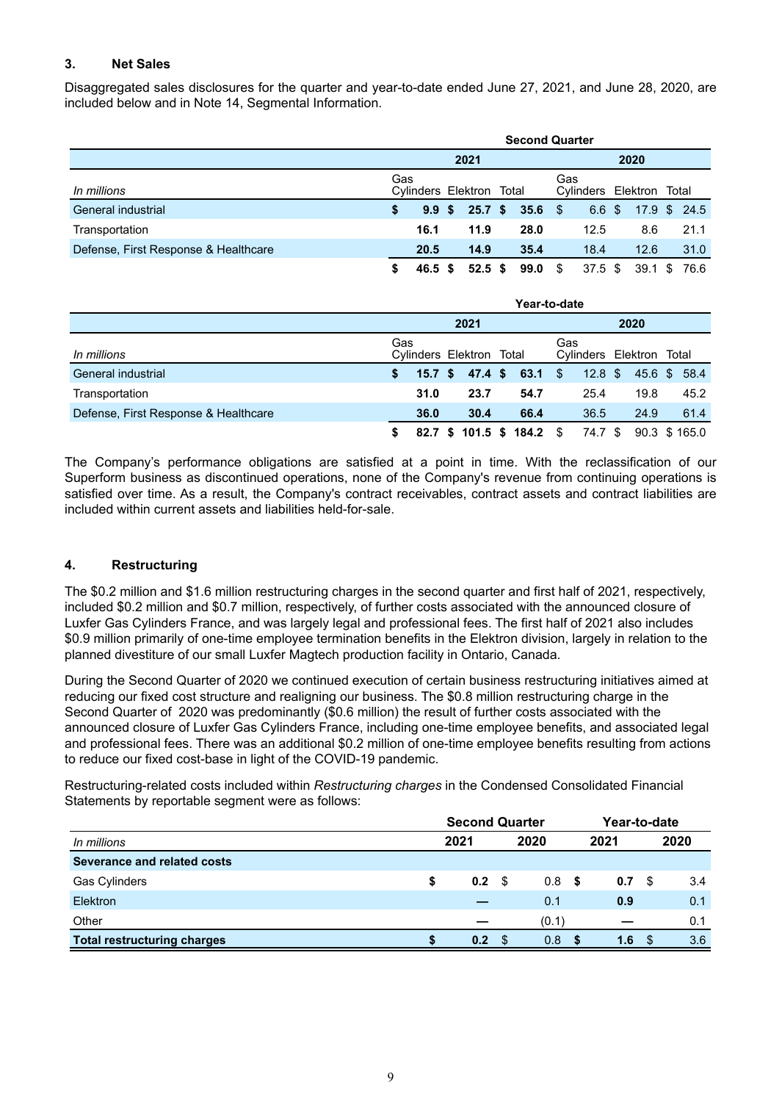# **3. Net Sales**

Disaggregated sales disclosures for the quarter and year-to-date ended June 27, 2021, and June 28, 2020, are included below and in Note 14, Segmental Information.

|                                      | <b>Second Quarter</b> |                          |    |                   |    |           |      |                          |  |                     |  |      |  |
|--------------------------------------|-----------------------|--------------------------|----|-------------------|----|-----------|------|--------------------------|--|---------------------|--|------|--|
|                                      |                       |                          |    | 2021              |    |           | 2020 |                          |  |                     |  |      |  |
| In millions                          | Gas                   | Cylinders Elektron Total |    |                   |    |           | Gas  | Cylinders Elektron Total |  |                     |  |      |  |
| General industrial                   | S.                    | 9.9 <sup>5</sup>         |    | 25.7 <sup>5</sup> |    | $35.6$ \$ |      |                          |  | 6.6 \$ 17.9 \$ 24.5 |  |      |  |
| Transportation                       |                       | 16.1                     |    | 11.9              |    | 28.0      |      | 12.5                     |  | 8.6                 |  | 21.1 |  |
| Defense, First Response & Healthcare |                       | 20.5                     |    | 14.9              |    | 35.4      |      | 18.4                     |  | 12.6                |  | 31.0 |  |
|                                      |                       | 46.5                     | -S | 52.5              | S. | 99.0      | - \$ | 37.5~\$                  |  | $39.1 \text{ } $$   |  | 76.6 |  |

|                                      | Year-to-date |                                 |  |        |  |                           |     |                          |  |      |              |  |  |  |
|--------------------------------------|--------------|---------------------------------|--|--------|--|---------------------------|-----|--------------------------|--|------|--------------|--|--|--|
|                                      |              | 2021                            |  |        |  |                           |     | 2020                     |  |      |              |  |  |  |
| In millions                          |              | Gas<br>Cylinders Elektron Total |  |        |  |                           | Gas | Cylinders Elektron Total |  |      |              |  |  |  |
| General industrial                   | S.           | 15.7 S                          |  | 47.4 S |  | 63.1 S                    |     | $12.8$ \$                |  |      | 45.6 \$ 58.4 |  |  |  |
| Transportation                       |              | 31.0                            |  | 23.7   |  | 54.7                      |     | 25.4                     |  | 19.8 | 45.2         |  |  |  |
| Defense, First Response & Healthcare |              | 36.0                            |  | 30.4   |  | 66.4                      |     | 36.5                     |  | 24.9 | 61.4         |  |  |  |
|                                      |              |                                 |  |        |  | 82.7 \$ 101.5 \$ 184.2 \$ |     | 74.7 \$                  |  |      | 90.3 \$165.0 |  |  |  |

The Company's performance obligations are satisfied at a point in time. With the reclassification of our Superform business as discontinued operations, none of the Company's revenue from continuing operations is satisfied over time. As a result, the Company's contract receivables, contract assets and contract liabilities are included within current assets and liabilities held-for-sale.

# **4. Restructuring**

The \$0.2 million and \$1.6 million restructuring charges in the second quarter and first half of 2021, respectively, included \$0.2 million and \$0.7 million, respectively, of further costs associated with the announced closure of Luxfer Gas Cylinders France, and was largely legal and professional fees. The first half of 2021 also includes \$0.9 million primarily of one-time employee termination benefits in the Elektron division, largely in relation to the planned divestiture of our small Luxfer Magtech production facility in Ontario, Canada.

During the Second Quarter of 2020 we continued execution of certain business restructuring initiatives aimed at reducing our fixed cost structure and realigning our business. The \$0.8 million restructuring charge in the Second Quarter of 2020 was predominantly (\$0.6 million) the result of further costs associated with the announced closure of Luxfer Gas Cylinders France, including one-time employee benefits, and associated legal and professional fees. There was an additional \$0.2 million of one-time employee benefits resulting from actions to reduce our fixed cost-base in light of the COVID-19 pandemic.

Restructuring-related costs included within *Restructuring charges* in the Condensed Consolidated Financial Statements by reportable segment were as follows:

|                                    |      | <b>Second Quarter</b> |      |                  | Year-to-date |      |      |      |  |  |
|------------------------------------|------|-----------------------|------|------------------|--------------|------|------|------|--|--|
| In millions                        | 2021 |                       |      | 2020             |              | 2021 |      | 2020 |  |  |
| Severance and related costs        |      |                       |      |                  |              |      |      |      |  |  |
| <b>Gas Cylinders</b>               | \$   | 0.2                   | - \$ | 0.8 <sup>5</sup> |              | 0.7  | - \$ | 3.4  |  |  |
| Elektron                           |      |                       |      | 0.1              |              | 0.9  |      | 0.1  |  |  |
| Other                              |      |                       |      | (0.1)            |              |      |      | 0.1  |  |  |
| <b>Total restructuring charges</b> |      | 0.2                   |      | 0.8              |              | 1.6  |      | 3.6  |  |  |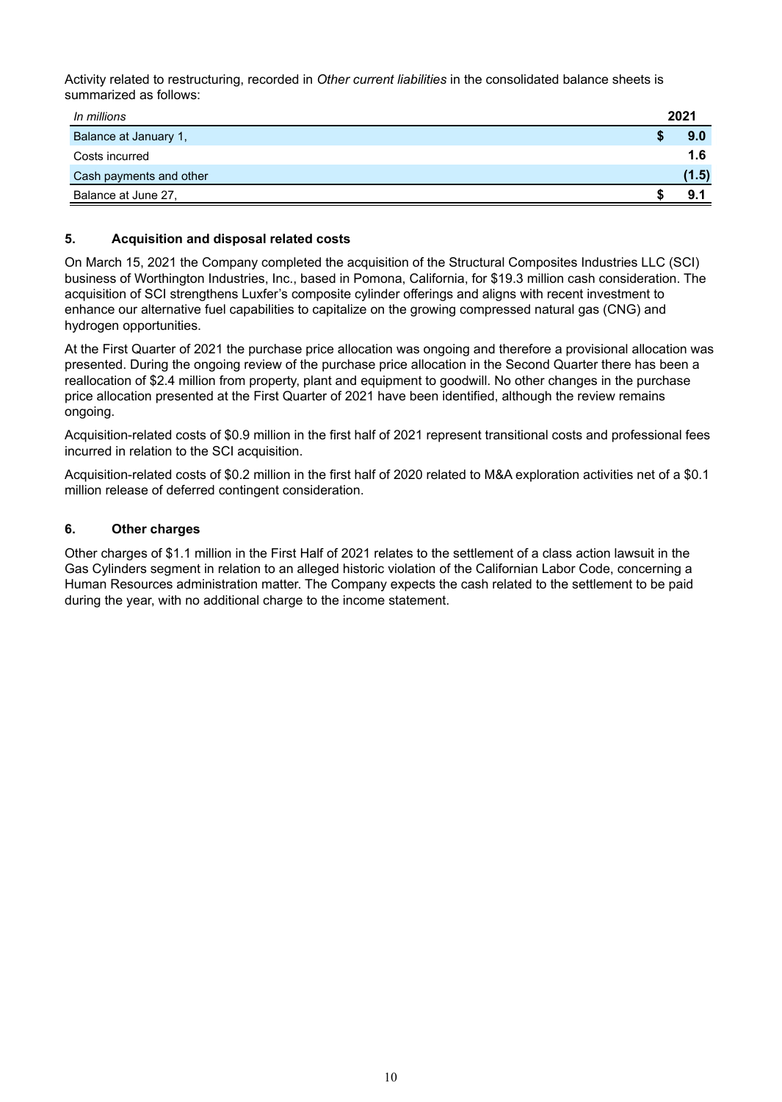Activity related to restructuring, recorded in *Other current liabilities* in the consolidated balance sheets is summarized as follows:

| In millions             | 2021  |
|-------------------------|-------|
| Balance at January 1,   | 9.0   |
| Costs incurred          | 1.6   |
| Cash payments and other | (1.5) |
| Balance at June 27,     | 9.    |

# **5. Acquisition and disposal related costs**

On March 15, 2021 the Company completed the acquisition of the Structural Composites Industries LLC (SCI) business of Worthington Industries, Inc., based in Pomona, California, for \$19.3 million cash consideration. The acquisition of SCI strengthens Luxfer's composite cylinder offerings and aligns with recent investment to enhance our alternative fuel capabilities to capitalize on the growing compressed natural gas (CNG) and hydrogen opportunities.

At the First Quarter of 2021 the purchase price allocation was ongoing and therefore a provisional allocation was presented. During the ongoing review of the purchase price allocation in the Second Quarter there has been a reallocation of \$2.4 million from property, plant and equipment to goodwill. No other changes in the purchase price allocation presented at the First Quarter of 2021 have been identified, although the review remains ongoing.

Acquisition-related costs of \$0.9 million in the first half of 2021 represent transitional costs and professional fees incurred in relation to the SCI acquisition.

Acquisition-related costs of \$0.2 million in the first half of 2020 related to M&A exploration activities net of a \$0.1 million release of deferred contingent consideration.

# **6. Other charges**

Other charges of \$1.1 million in the First Half of 2021 relates to the settlement of a class action lawsuit in the Gas Cylinders segment in relation to an alleged historic violation of the Californian Labor Code, concerning a Human Resources administration matter. The Company expects the cash related to the settlement to be paid during the year, with no additional charge to the income statement.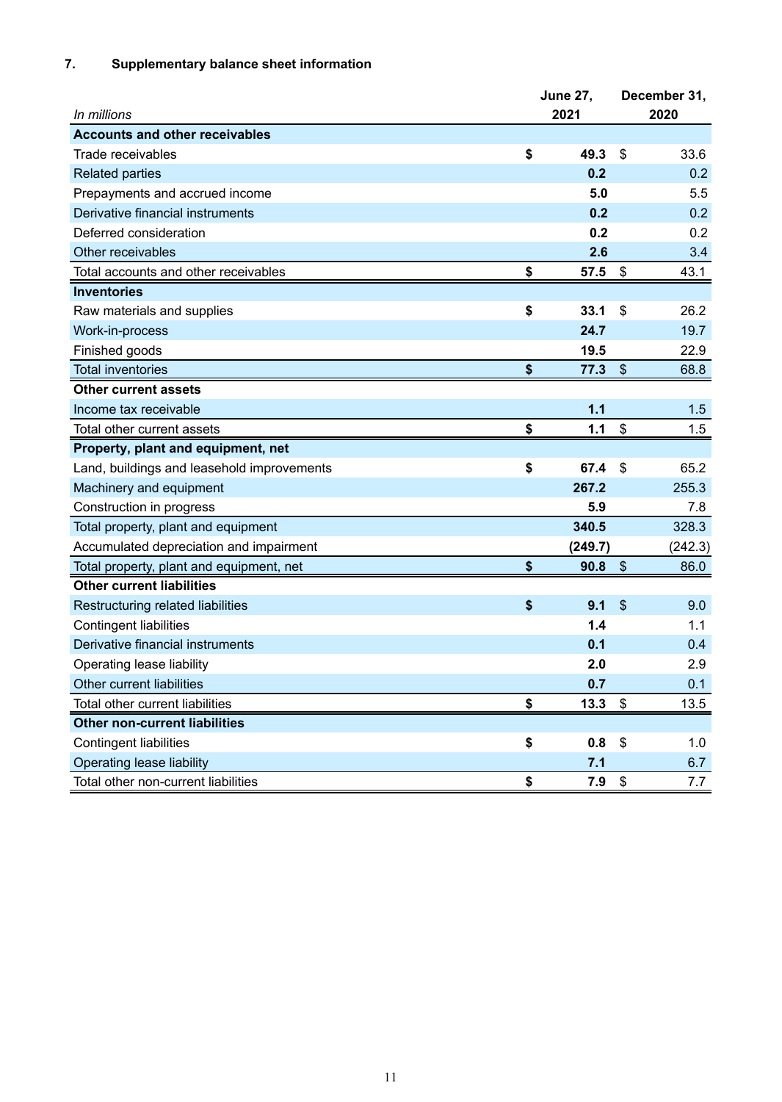# **7. Supplementary balance sheet information**

|                                            | <b>June 27,</b> | December 31, |
|--------------------------------------------|-----------------|--------------|
| In millions                                | 2021            | 2020         |
| <b>Accounts and other receivables</b>      |                 |              |
| Trade receivables                          | \$<br>49.3      | \$<br>33.6   |
| <b>Related parties</b>                     | 0.2             | 0.2          |
| Prepayments and accrued income             | 5.0             | 5.5          |
| Derivative financial instruments           | 0.2             | 0.2          |
| Deferred consideration                     | 0.2             | 0.2          |
| Other receivables                          | 2.6             | 3.4          |
| Total accounts and other receivables       | \$<br>57.5      | \$<br>43.1   |
| <b>Inventories</b>                         |                 |              |
| Raw materials and supplies                 | \$<br>33.1      | \$<br>26.2   |
| Work-in-process                            | 24.7            | 19.7         |
| Finished goods                             | 19.5            | 22.9         |
| <b>Total inventories</b>                   | \$<br>77.3      | \$<br>68.8   |
| <b>Other current assets</b>                |                 |              |
| Income tax receivable                      | 1.1             | 1.5          |
| Total other current assets                 | \$<br>1.1       | \$<br>1.5    |
| Property, plant and equipment, net         |                 |              |
| Land, buildings and leasehold improvements | \$<br>67.4      | \$<br>65.2   |
| Machinery and equipment                    | 267.2           | 255.3        |
| Construction in progress                   | 5.9             | 7.8          |
| Total property, plant and equipment        | 340.5           | 328.3        |
| Accumulated depreciation and impairment    | (249.7)         | (242.3)      |
| Total property, plant and equipment, net   | \$<br>90.8      | \$<br>86.0   |
| <b>Other current liabilities</b>           |                 |              |
| Restructuring related liabilities          | \$<br>9.1       | \$<br>9.0    |
| <b>Contingent liabilities</b>              | 1.4             | 1.1          |
| Derivative financial instruments           | 0.1             | 0.4          |
| Operating lease liability                  | 2.0             | 2.9          |
| Other current liabilities                  | 0.7             | 0.1          |
| Total other current liabilities            | \$<br>13.3      | \$<br>13.5   |
| <b>Other non-current liabilities</b>       |                 |              |
| <b>Contingent liabilities</b>              | \$<br>0.8       | \$<br>1.0    |
| Operating lease liability                  | 7.1             | 6.7          |
| Total other non-current liabilities        | \$<br>7.9       | \$<br>7.7    |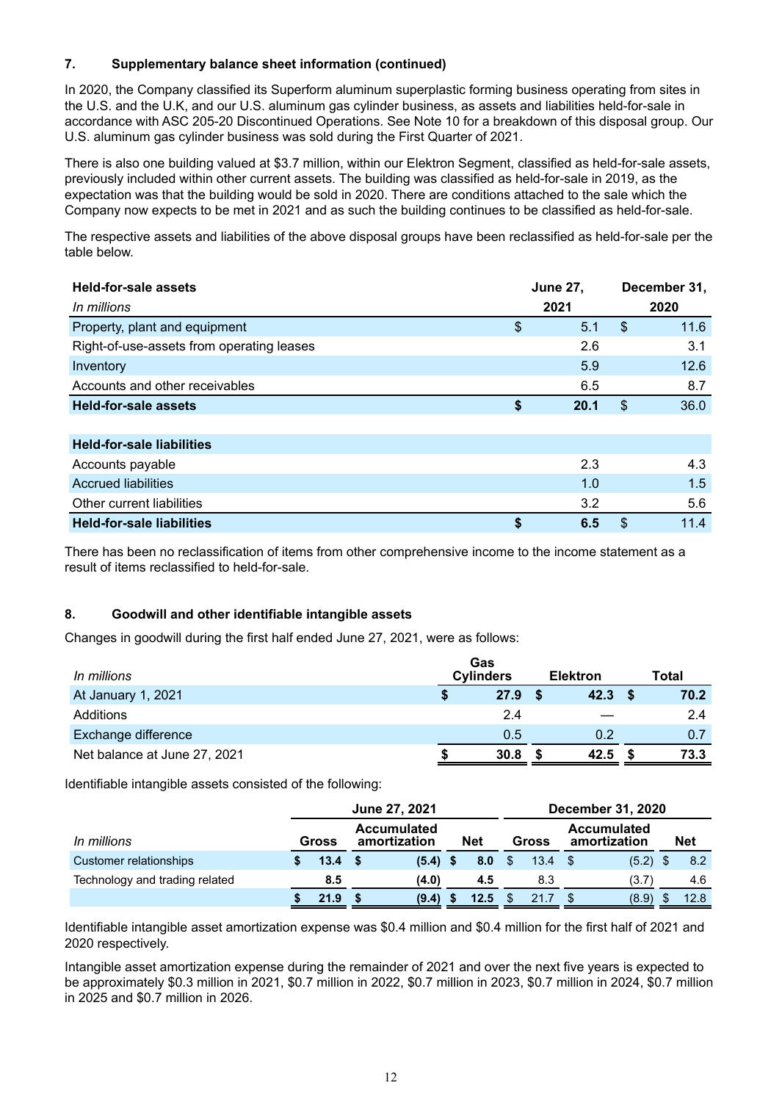# **7. Supplementary balance sheet information (continued)**

In 2020, the Company classified its Superform aluminum superplastic forming business operating from sites in the U.S. and the U.K, and our U.S. aluminum gas cylinder business, as assets and liabilities held-for-sale in accordance with ASC 205-20 Discontinued Operations. See Note 10 for a breakdown of this disposal group. Our U.S. aluminum gas cylinder business was sold during the First Quarter of 2021.

There is also one building valued at \$3.7 million, within our Elektron Segment, classified as held-for-sale assets, previously included within other current assets. The building was classified as held-for-sale in 2019, as the expectation was that the building would be sold in 2020. There are conditions attached to the sale which the Company now expects to be met in 2021 and as such the building continues to be classified as held-for-sale.

The respective assets and liabilities of the above disposal groups have been reclassified as held-for-sale per the table below.

| <b>Held-for-sale assets</b>               | <b>June 27,</b> | December 31, |
|-------------------------------------------|-----------------|--------------|
| In millions                               | 2021            | 2020         |
| Property, plant and equipment             | \$<br>5.1       | \$<br>11.6   |
| Right-of-use-assets from operating leases | 2.6             | 3.1          |
| Inventory                                 | 5.9             | 12.6         |
| Accounts and other receivables            | 6.5             | 8.7          |
| <b>Held-for-sale assets</b>               | \$<br>20.1      | \$<br>36.0   |
|                                           |                 |              |
| <b>Held-for-sale liabilities</b>          |                 |              |
| Accounts payable                          | 2.3             | 4.3          |
| <b>Accrued liabilities</b>                | 1.0             | 1.5          |

There has been no reclassification of items from other comprehensive income to the income statement as a result of items reclassified to held-for-sale.

Other current liabilities 3.2 5.6 **Held-for-sale liabilities \$ 6.5** \$ 11.4

# **8. Goodwill and other identifiable intangible assets**

Changes in goodwill during the first half ended June 27, 2021, were as follows:

| In millions                  | Gas<br><b>Cylinders</b> | <b>Elektron</b> | Total |
|------------------------------|-------------------------|-----------------|-------|
| At January 1, 2021           | 27.9                    | 42.3            | 70.2  |
| Additions                    | 2.4                     |                 | 2.4   |
| <b>Exchange difference</b>   | 0.5                     | 0.2             | 0.7   |
| Net balance at June 27, 2021 | 30.8                    | 42.5            | 73.3  |

Identifiable intangible assets consisted of the following:

|                                |                                             |      | June 27, 2021 |            |      | <b>December 31, 2020</b> |       |                                    |            |  |            |  |  |  |
|--------------------------------|---------------------------------------------|------|---------------|------------|------|--------------------------|-------|------------------------------------|------------|--|------------|--|--|--|
| In millions                    | <b>Accumulated</b><br>amortization<br>Gross |      |               | <b>Net</b> |      |                          | Gross | <b>Accumulated</b><br>amortization |            |  | <b>Net</b> |  |  |  |
| Customer relationships         | 13.4                                        | - \$ | $(5.4)$ \$    |            | 8.0  | \$.                      | 13.4  |                                    | $(5.2)$ \$ |  | 8.2        |  |  |  |
| Technology and trading related | 8.5                                         |      | (4.0)         |            | 4.5  |                          | 8.3   |                                    | (3.7)      |  | 4.6        |  |  |  |
|                                | 21.9                                        |      | (9.4)         |            | 12.5 |                          | 21.7  |                                    | (8.9)      |  | 12.8       |  |  |  |

Identifiable intangible asset amortization expense was \$0.4 million and \$0.4 million for the first half of 2021 and 2020 respectively.

Intangible asset amortization expense during the remainder of 2021 and over the next five years is expected to be approximately \$0.3 million in 2021, \$0.7 million in 2022, \$0.7 million in 2023, \$0.7 million in 2024, \$0.7 million in 2025 and \$0.7 million in 2026.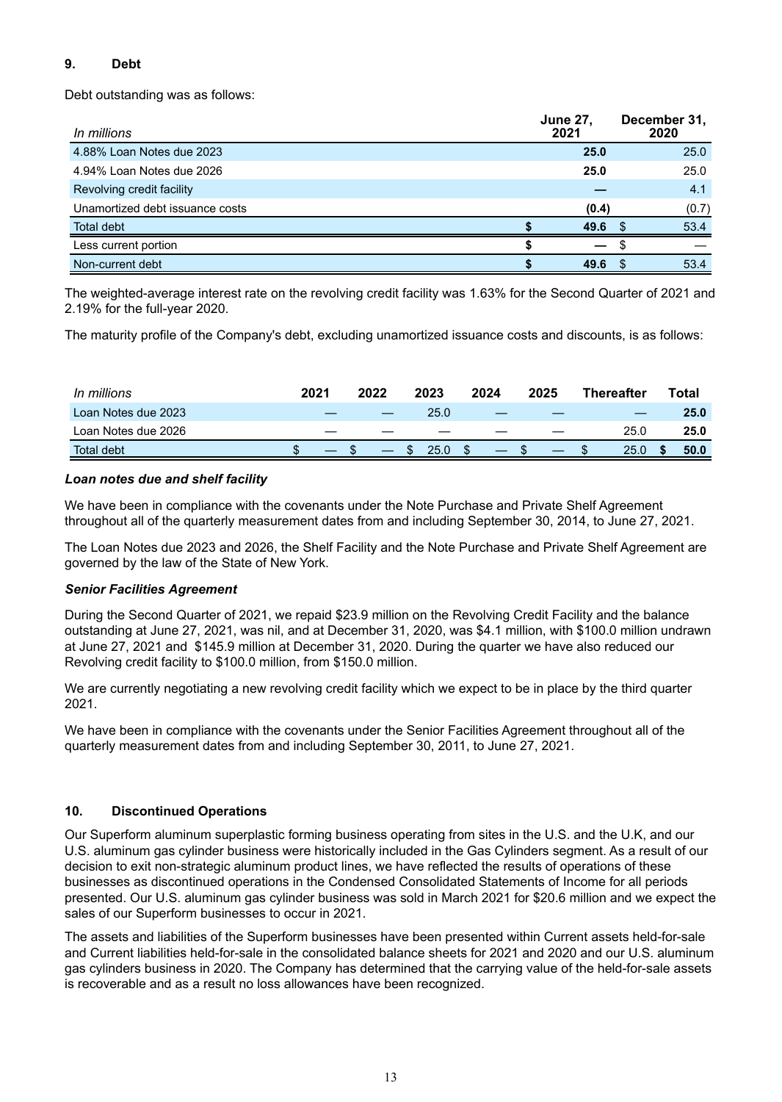# **9. Debt**

Debt outstanding was as follows:

| In millions                     | <b>June 27.</b><br>2021 | December 31,<br>2020 |
|---------------------------------|-------------------------|----------------------|
| 4.88% Loan Notes due 2023       | 25.0                    | 25.0                 |
| 4.94% Loan Notes due 2026       | 25.0                    | 25.0                 |
| Revolving credit facility       |                         | 4.1                  |
| Unamortized debt issuance costs | (0.4)                   | (0.7)                |
| <b>Total debt</b>               | 49.6                    | 53.4<br>£.           |
| Less current portion            |                         |                      |
| Non-current debt                | 49.6                    | 53.4                 |

The weighted-average interest rate on the revolving credit facility was 1.63% for the Second Quarter of 2021 and 2.19% for the full-year 2020.

The maturity profile of the Company's debt, excluding unamortized issuance costs and discounts, is as follows:

| In millions         | 2021 |    | 2022 |          | 2023 | 2024 | 2025 | <b>Thereafter</b> |  | ⊤otal |
|---------------------|------|----|------|----------|------|------|------|-------------------|--|-------|
| Loan Notes due 2023 |      |    |      |          | 25.0 |      |      |                   |  | 25.0  |
| Loan Notes due 2026 |      | __ |      |          |      |      |      | 25.0              |  | 25.0  |
| Total debt          |      |    |      | <u>ъ</u> | 25.0 |      |      | 25.0              |  | 50.0  |

# *Loan notes due and shelf facility*

We have been in compliance with the covenants under the Note Purchase and Private Shelf Agreement throughout all of the quarterly measurement dates from and including September 30, 2014, to June 27, 2021.

The Loan Notes due 2023 and 2026, the Shelf Facility and the Note Purchase and Private Shelf Agreement are governed by the law of the State of New York.

# *Senior Facilities Agreement*

During the Second Quarter of 2021, we repaid \$23.9 million on the Revolving Credit Facility and the balance outstanding at June 27, 2021, was nil, and at December 31, 2020, was \$4.1 million, with \$100.0 million undrawn at June 27, 2021 and \$145.9 million at December 31, 2020. During the quarter we have also reduced our Revolving credit facility to \$100.0 million, from \$150.0 million.

We are currently negotiating a new revolving credit facility which we expect to be in place by the third quarter 2021.

We have been in compliance with the covenants under the Senior Facilities Agreement throughout all of the quarterly measurement dates from and including September 30, 2011, to June 27, 2021.

# **10. Discontinued Operations**

Our Superform aluminum superplastic forming business operating from sites in the U.S. and the U.K, and our U.S. aluminum gas cylinder business were historically included in the Gas Cylinders segment. As a result of our decision to exit non-strategic aluminum product lines, we have reflected the results of operations of these businesses as discontinued operations in the Condensed Consolidated Statements of Income for all periods presented. Our U.S. aluminum gas cylinder business was sold in March 2021 for \$20.6 million and we expect the sales of our Superform businesses to occur in 2021.

The assets and liabilities of the Superform businesses have been presented within Current assets held-for-sale and Current liabilities held-for-sale in the consolidated balance sheets for 2021 and 2020 and our U.S. aluminum gas cylinders business in 2020. The Company has determined that the carrying value of the held-for-sale assets is recoverable and as a result no loss allowances have been recognized.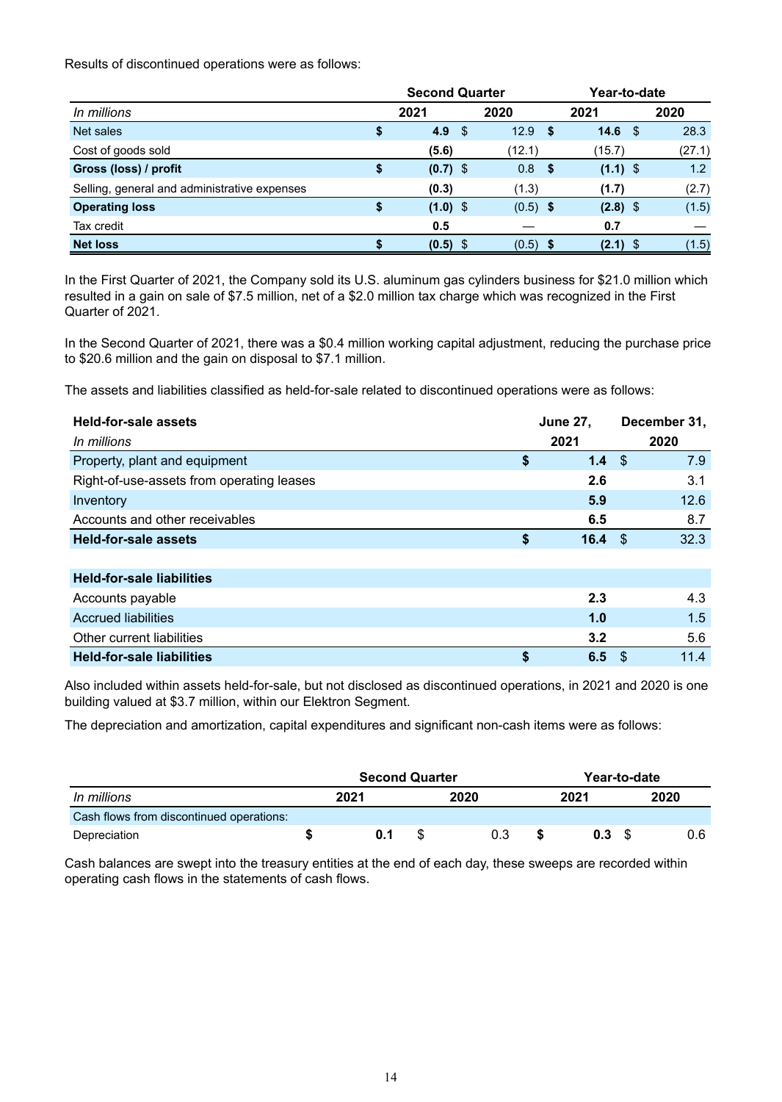Results of discontinued operations were as follows:

|                                              |    | <b>Second Quarter</b> |      |            | Year-to-date |                   |  |        |  |  |
|----------------------------------------------|----|-----------------------|------|------------|--------------|-------------------|--|--------|--|--|
| In millions                                  |    | 2021                  | 2020 |            |              | 2021              |  | 2020   |  |  |
| Net sales                                    | \$ | 4.9                   | S    | 12.9       | S            | 14.6 <sup>°</sup> |  | 28.3   |  |  |
| Cost of goods sold                           |    | (5.6)                 |      | (12.1)     |              | (15.7)            |  | (27.1) |  |  |
| Gross (loss) / profit                        | \$ | $(0.7)$ \$            |      | 0.8        | - \$         | $(1.1)$ \$        |  | 1.2    |  |  |
| Selling, general and administrative expenses |    | (0.3)                 |      | (1.3)      |              | (1.7)             |  | (2.7)  |  |  |
| <b>Operating loss</b>                        | \$ | $(1.0)$ \$            |      | $(0.5)$ \$ |              | $(2.8)$ \$        |  | (1.5)  |  |  |
| Tax credit                                   |    | 0.5                   |      |            |              | 0.7               |  |        |  |  |
| <b>Net loss</b>                              |    | $(0.5)$ \$            |      | $(0.5)$ \$ |              | (2.1)             |  | (1.5)  |  |  |

In the First Quarter of 2021, the Company sold its U.S. aluminum gas cylinders business for \$21.0 million which resulted in a gain on sale of \$7.5 million, net of a \$2.0 million tax charge which was recognized in the First Quarter of 2021.

In the Second Quarter of 2021, there was a \$0.4 million working capital adjustment, reducing the purchase price to \$20.6 million and the gain on disposal to \$7.1 million.

The assets and liabilities classified as held-for-sale related to discontinued operations were as follows:

| Held-for-sale assets                      |    | <b>June 27,</b> |     | December 31, |
|-------------------------------------------|----|-----------------|-----|--------------|
| In millions                               |    | 2021            |     | 2020         |
| Property, plant and equipment             | \$ | 1.4             | -\$ | 7.9          |
| Right-of-use-assets from operating leases |    | 2.6             |     | 3.1          |
| Inventory                                 |    | 5.9             |     | 12.6         |
| Accounts and other receivables            |    | 6.5             |     | 8.7          |
| <b>Held-for-sale assets</b>               | \$ | 16.4            | -S  | 32.3         |
|                                           |    |                 |     |              |
| <b>Held-for-sale liabilities</b>          |    |                 |     |              |
| Accounts payable                          |    | 2.3             |     | 4.3          |
| <b>Accrued liabilities</b>                |    | 1.0             |     | 1.5          |
| Other current liabilities                 |    | 3.2             |     | 5.6          |
| <b>Held-for-sale liabilities</b>          | S  | 6.5             | -\$ | 11.4         |
|                                           |    |                 |     |              |

Also included within assets held-for-sale, but not disclosed as discontinued operations, in 2021 and 2020 is one building valued at \$3.7 million, within our Elektron Segment.

The depreciation and amortization, capital expenditures and significant non-cash items were as follows:

|                                          |  | <b>Second Quarter</b> |      | Year-to-date |      |  |      |  |  |
|------------------------------------------|--|-----------------------|------|--------------|------|--|------|--|--|
| In millions                              |  | 2021                  | 2020 |              | 2021 |  | 2020 |  |  |
| Cash flows from discontinued operations: |  |                       |      |              |      |  |      |  |  |
| Depreciation                             |  | 0.1                   | 0.3  |              | 0.3  |  | 0.6  |  |  |

Cash balances are swept into the treasury entities at the end of each day, these sweeps are recorded within operating cash flows in the statements of cash flows.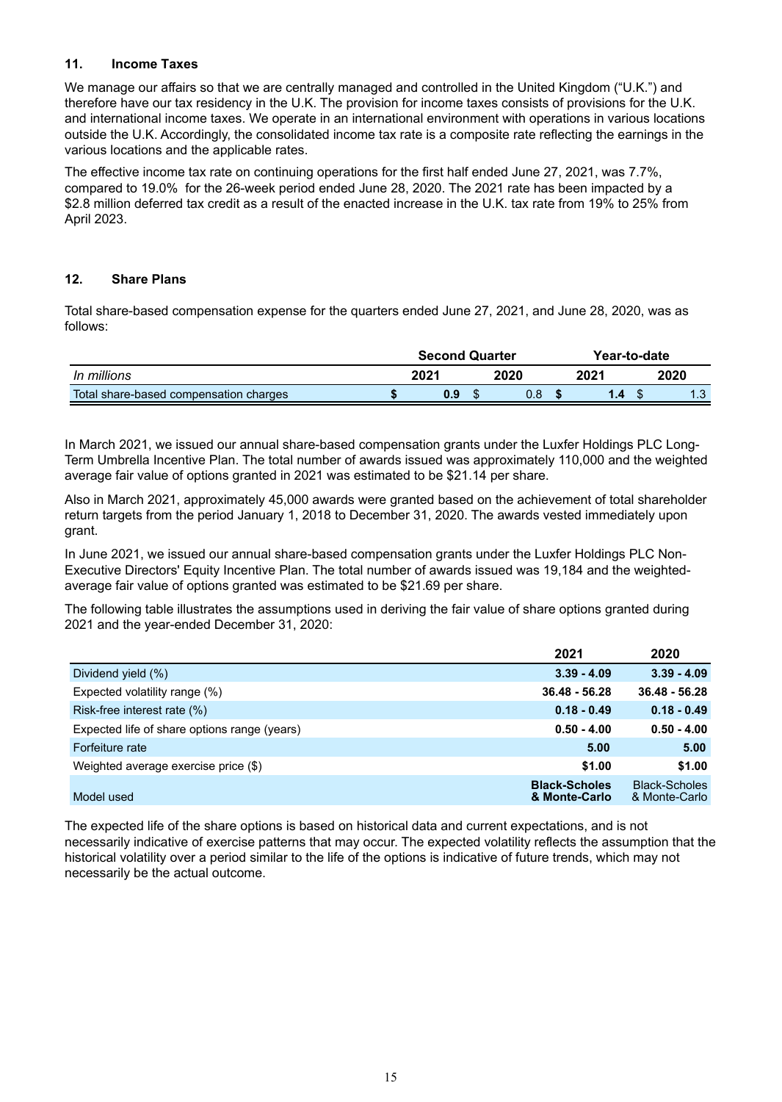# **11. Income Taxes**

We manage our affairs so that we are centrally managed and controlled in the United Kingdom ("U.K.") and therefore have our tax residency in the U.K. The provision for income taxes consists of provisions for the U.K. and international income taxes. We operate in an international environment with operations in various locations outside the U.K. Accordingly, the consolidated income tax rate is a composite rate reflecting the earnings in the various locations and the applicable rates.

The effective income tax rate on continuing operations for the first half ended June 27, 2021, was 7.7%, compared to 19.0% for the 26-week period ended June 28, 2020. The 2021 rate has been impacted by a \$2.8 million deferred tax credit as a result of the enacted increase in the U.K. tax rate from 19% to 25% from April 2023.

# **12. Share Plans**

Total share-based compensation expense for the quarters ended June 27, 2021, and June 28, 2020, was as follows:

|                                        | <b>Second Quarter</b> |      |  |      |  | Year-to-date |  |      |
|----------------------------------------|-----------------------|------|--|------|--|--------------|--|------|
| In millions                            |                       | 2021 |  | 2020 |  | 2021         |  | 2020 |
| Total share-based compensation charges |                       | 0.9  |  | 0.8  |  |              |  | ט. ו |

In March 2021, we issued our annual share-based compensation grants under the Luxfer Holdings PLC Long-Term Umbrella Incentive Plan. The total number of awards issued was approximately 110,000 and the weighted average fair value of options granted in 2021 was estimated to be \$21.14 per share.

Also in March 2021, approximately 45,000 awards were granted based on the achievement of total shareholder return targets from the period January 1, 2018 to December 31, 2020. The awards vested immediately upon grant.

In June 2021, we issued our annual share-based compensation grants under the Luxfer Holdings PLC Non-Executive Directors' Equity Incentive Plan. The total number of awards issued was 19,184 and the weightedaverage fair value of options granted was estimated to be \$21.69 per share.

The following table illustrates the assumptions used in deriving the fair value of share options granted during 2021 and the year-ended December 31, 2020:

|                                              | 2021                                  | 2020                                  |
|----------------------------------------------|---------------------------------------|---------------------------------------|
| Dividend yield (%)                           | $3.39 - 4.09$                         | $3.39 - 4.09$                         |
| Expected volatility range (%)                | $36.48 - 56.28$                       | $36.48 - 56.28$                       |
| Risk-free interest rate (%)                  | $0.18 - 0.49$                         | $0.18 - 0.49$                         |
| Expected life of share options range (years) | $0.50 - 4.00$                         | $0.50 - 4.00$                         |
| Forfeiture rate                              | 5.00                                  | 5.00                                  |
| Weighted average exercise price (\$)         | \$1.00                                | \$1.00                                |
| Model used                                   | <b>Black-Scholes</b><br>& Monte-Carlo | <b>Black-Scholes</b><br>& Monte-Carlo |

The expected life of the share options is based on historical data and current expectations, and is not necessarily indicative of exercise patterns that may occur. The expected volatility reflects the assumption that the historical volatility over a period similar to the life of the options is indicative of future trends, which may not necessarily be the actual outcome.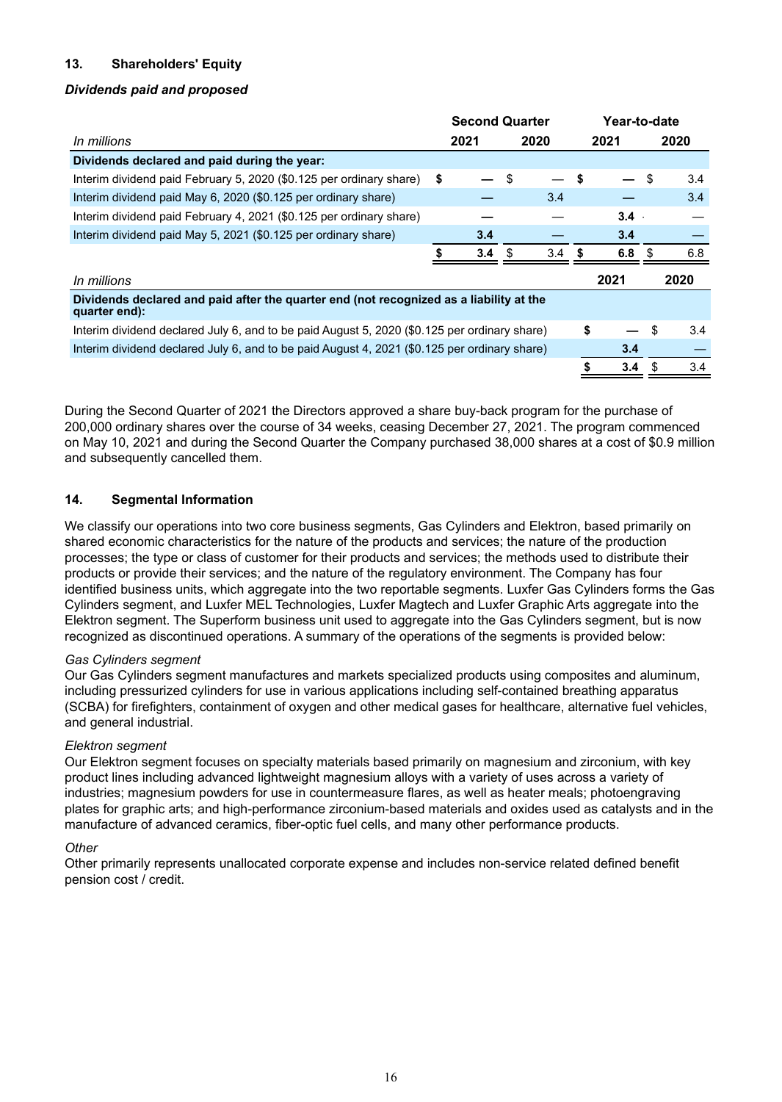# **13. Shareholders' Equity**

# *Dividends paid and proposed*

|                                                                                                          | <b>Second Quarter</b> |      |    |      |    | Year-to-date |    |      |  |  |  |
|----------------------------------------------------------------------------------------------------------|-----------------------|------|----|------|----|--------------|----|------|--|--|--|
| <i>In millions</i>                                                                                       |                       | 2021 |    | 2020 |    | 2021         |    | 2020 |  |  |  |
| Dividends declared and paid during the year:                                                             |                       |      |    |      |    |              |    |      |  |  |  |
| Interim dividend paid February 5, 2020 (\$0.125 per ordinary share)                                      | - \$                  |      | \$ |      |    |              | \$ | 3.4  |  |  |  |
| Interim dividend paid May 6, 2020 (\$0.125 per ordinary share)                                           |                       |      |    | 3.4  |    |              |    | 3.4  |  |  |  |
| Interim dividend paid February 4, 2021 (\$0.125 per ordinary share)                                      |                       |      |    |      |    | 3.4          |    |      |  |  |  |
| Interim dividend paid May 5, 2021 (\$0.125 per ordinary share)                                           |                       | 3.4  |    |      |    | 3.4          |    |      |  |  |  |
|                                                                                                          |                       | 3.4  |    | 3.4  |    | 6.8          | -S | 6.8  |  |  |  |
| <i>In millions</i>                                                                                       |                       |      |    |      |    | 2021         |    | 2020 |  |  |  |
| Dividends declared and paid after the quarter end (not recognized as a liability at the<br>quarter end): |                       |      |    |      |    |              |    |      |  |  |  |
| Interim dividend declared July 6, and to be paid August 5, 2020 (\$0.125 per ordinary share)             |                       |      |    |      | \$ |              | S  | 3.4  |  |  |  |
| Interim dividend declared July 6, and to be paid August 4, 2021 (\$0.125 per ordinary share)             |                       |      |    |      |    | 3.4          |    |      |  |  |  |
|                                                                                                          |                       |      |    |      | \$ | 3.4          |    | 3.4  |  |  |  |

During the Second Quarter of 2021 the Directors approved a share buy-back program for the purchase of 200,000 ordinary shares over the course of 34 weeks, ceasing December 27, 2021. The program commenced on May 10, 2021 and during the Second Quarter the Company purchased 38,000 shares at a cost of \$0.9 million and subsequently cancelled them.

# **14. Segmental Information**

We classify our operations into two core business segments, Gas Cylinders and Elektron, based primarily on shared economic characteristics for the nature of the products and services; the nature of the production processes; the type or class of customer for their products and services; the methods used to distribute their products or provide their services; and the nature of the regulatory environment. The Company has four identified business units, which aggregate into the two reportable segments. Luxfer Gas Cylinders forms the Gas Cylinders segment, and Luxfer MEL Technologies, Luxfer Magtech and Luxfer Graphic Arts aggregate into the Elektron segment. The Superform business unit used to aggregate into the Gas Cylinders segment, but is now recognized as discontinued operations. A summary of the operations of the segments is provided below:

# *Gas Cylinders segment*

Our Gas Cylinders segment manufactures and markets specialized products using composites and aluminum, including pressurized cylinders for use in various applications including self-contained breathing apparatus (SCBA) for firefighters, containment of oxygen and other medical gases for healthcare, alternative fuel vehicles, and general industrial.

# *Elektron segment*

Our Elektron segment focuses on specialty materials based primarily on magnesium and zirconium, with key product lines including advanced lightweight magnesium alloys with a variety of uses across a variety of industries; magnesium powders for use in countermeasure flares, as well as heater meals; photoengraving plates for graphic arts; and high-performance zirconium-based materials and oxides used as catalysts and in the manufacture of advanced ceramics, fiber-optic fuel cells, and many other performance products.

#### *Other*

Other primarily represents unallocated corporate expense and includes non-service related defined benefit pension cost / credit.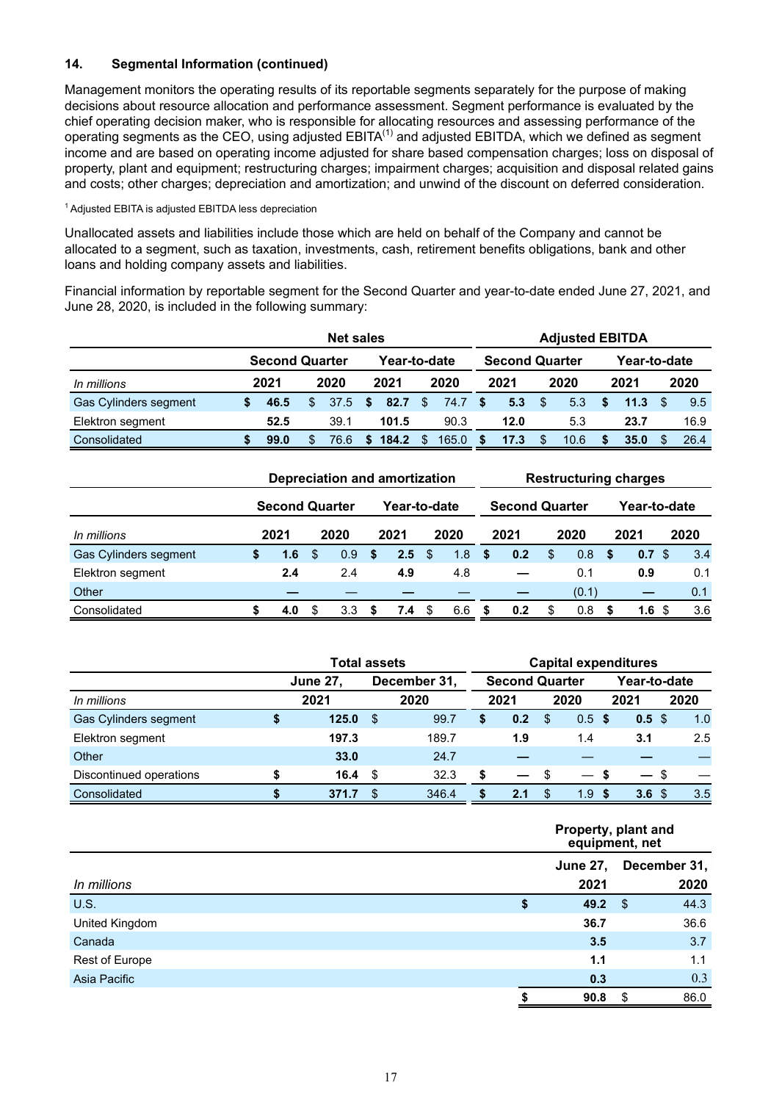# **14. Segmental Information (continued)**

Management monitors the operating results of its reportable segments separately for the purpose of making decisions about resource allocation and performance assessment. Segment performance is evaluated by the chief operating decision maker, who is responsible for allocating resources and assessing performance of the operating segments as the CEO, using adjusted  $EBITA^{(1)}$  and adjusted  $EBITDA$ , which we defined as segment income and are based on operating income adjusted for share based compensation charges; loss on disposal of property, plant and equipment; restructuring charges; impairment charges; acquisition and disposal related gains and costs; other charges; depreciation and amortization; and unwind of the discount on deferred consideration.

<sup>1</sup>Adjusted EBITA is adjusted EBITDA less depreciation

Unallocated assets and liabilities include those which are held on behalf of the Company and cannot be allocated to a segment, such as taxation, investments, cash, retirement benefits obligations, bank and other loans and holding company assets and liabilities.

Financial information by reportable segment for the Second Quarter and year-to-date ended June 27, 2021, and June 28, 2020, is included in the following summary:

|                       | <b>Net sales</b>      |     |           |  |              |     |       | <b>Adjusted EBITDA</b> |                       |    |      |   |              |    |      |  |  |
|-----------------------|-----------------------|-----|-----------|--|--------------|-----|-------|------------------------|-----------------------|----|------|---|--------------|----|------|--|--|
|                       | <b>Second Quarter</b> |     |           |  | Year-to-date |     |       |                        | <b>Second Quarter</b> |    |      |   | Year-to-date |    |      |  |  |
| In millions           | 2021                  |     | 2020      |  | 2021         |     | 2020  |                        | 2021                  |    | 2020 |   | 2021         |    | 2020 |  |  |
| Gas Cylinders segment | 46.5                  | \$. | $37.5$ \$ |  | 82.7         | \$. | 74.7  | - \$                   | 5.3                   | \$ | 5.3  | S | 11.3         | £. | 9.5  |  |  |
| Elektron segment      | 52.5                  |     | 39.1      |  | 101.5        |     | 90.3  |                        | 12.0                  |    | 5.3  |   | 23.7         |    | 16.9 |  |  |
| Consolidated          | 99.0                  |     | 76.6      |  | 184.2        | \$  | 165.0 | S                      | 17.3                  | S  | 10.6 |   | 35.0         |    | 26.4 |  |  |

|                       | Depreciation and amortization |    |      |     |              |    | <b>Restructuring charges</b> |    |                       |               |       |              |                  |  |      |  |
|-----------------------|-------------------------------|----|------|-----|--------------|----|------------------------------|----|-----------------------|---------------|-------|--------------|------------------|--|------|--|
|                       | <b>Second Quarter</b>         |    |      |     | Year-to-date |    |                              |    | <b>Second Quarter</b> |               |       | Year-to-date |                  |  |      |  |
| In millions           | 2021                          |    | 2020 |     | 2021         |    | 2020                         |    | 2021                  |               | 2020  |              | 2021             |  | 2020 |  |
| Gas Cylinders segment | \$<br>1.6                     | -S | 0.9  | \$. | 2.5          | \$ | 1.8                          | Ŝ. | 0.2                   | $\mathbf{\$}$ | 0.8   | -S           | 0.7 <sup>°</sup> |  | 3.4  |  |
| Elektron segment      | 2.4                           |    | 2.4  |     | 4.9          |    | 4.8                          |    |                       |               | 0.1   |              | 0.9              |  | 0.1  |  |
| Other                 |                               |    |      |     |              |    |                              |    |                       |               | (0.1) |              |                  |  | 0.1  |  |
| Consolidated          | 4.0                           |    | 3.3  |     | 7.4          | \$ | 6.6                          |    | 0.2                   | S             | 0.8   |              | 1.6              |  | 3.6  |  |

|                              | <b>Total assets</b> | <b>Capital expenditures</b> |              |                       |      |               |                          |              |                          |     |      |
|------------------------------|---------------------|-----------------------------|--------------|-----------------------|------|---------------|--------------------------|--------------|--------------------------|-----|------|
|                              | <b>June 27,</b>     |                             | December 31, | <b>Second Quarter</b> |      |               |                          | Year-to-date |                          |     |      |
| In millions                  | 2021                |                             | 2020         |                       | 2021 |               | 2020                     |              | 2021                     |     | 2020 |
| <b>Gas Cylinders segment</b> | \$<br>125.0         | \$.                         | 99.7         | S                     | 0.2  | <sup>\$</sup> | 0.5                      | \$.          | 0.5 <sup>5</sup>         |     | 1.0  |
| Elektron segment             | 197.3               |                             | 189.7        |                       | 1.9  |               | 1.4                      |              | 3.1                      |     | 2.5  |
| Other                        | 33.0                |                             | 24.7         |                       |      |               |                          |              |                          |     |      |
| Discontinued operations      | 16.4                | S                           | 32.3         | \$                    | —    | -S            | $\overline{\phantom{0}}$ |              | $\overline{\phantom{0}}$ | -\$ |      |
| Consolidated                 | 371.7               | ß.                          | 346.4        | \$                    | 2.1  | \$.           | 1.9                      | \$.          | 3.6 <sub>5</sub>         |     | 3.5  |

|                |                 | Property, plant and<br>equipment, net |
|----------------|-----------------|---------------------------------------|
|                | <b>June 27,</b> | December 31,                          |
| In millions    | 2021            | 2020                                  |
| <b>U.S.</b>    | \$<br>49.2      | 44.3<br>\$                            |
| United Kingdom | 36.7            | 36.6                                  |
| Canada         | 3.5             | 3.7                                   |
| Rest of Europe | 1.1             | 1.1                                   |
| Asia Pacific   | 0.3             | 0.3                                   |
|                | 90.8            | 86.0<br>S                             |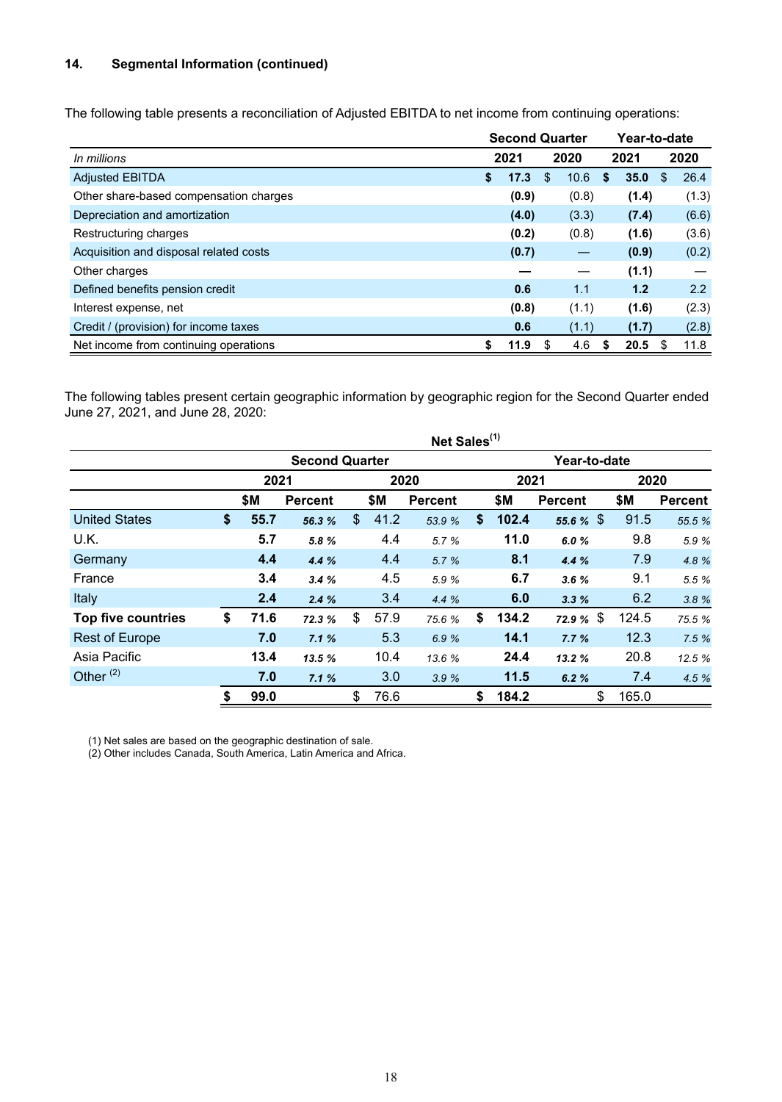# **14. Segmental Information (continued)**

The following table presents a reconciliation of Adjusted EBITDA to net income from continuing operations:

|                                        | <b>Second Quarter</b> |       |     |       |   |       | Year-to-date |       |  |
|----------------------------------------|-----------------------|-------|-----|-------|---|-------|--------------|-------|--|
| In millions                            | 2021<br>2020          |       |     |       |   | 2021  |              | 2020  |  |
| <b>Adjusted EBITDA</b>                 | \$.                   | 17.3  | \$. | 10.6  | S | 35.0  | S            | 26.4  |  |
| Other share-based compensation charges |                       | (0.9) |     | (0.8) |   | (1.4) |              | (1.3) |  |
| Depreciation and amortization          |                       | (4.0) |     | (3.3) |   | (7.4) |              | (6.6) |  |
| Restructuring charges                  |                       | (0.2) |     | (0.8) |   | (1.6) |              | (3.6) |  |
| Acquisition and disposal related costs |                       | (0.7) |     |       |   | (0.9) |              | (0.2) |  |
| Other charges                          |                       |       |     |       |   | (1.1) |              |       |  |
| Defined benefits pension credit        |                       | 0.6   |     | 1.1   |   | 1.2   |              | 2.2   |  |
| Interest expense, net                  |                       | (0.8) |     | (1.1) |   | (1.6) |              | (2.3) |  |
| Credit / (provision) for income taxes  |                       | 0.6   |     | (1.1) |   | (1.7) |              | (2.8) |  |
| Net income from continuing operations  | S                     | 11.9  | S   | 4.6   | S | 20.5  |              | 11.8  |  |

The following tables present certain geographic information by geographic region for the Second Quarter ended June 27, 2021, and June 28, 2020:

|                           |            |                       |               |      | Net Sales <sup>(1)</sup> |              |                |       |                |  |  |  |  |
|---------------------------|------------|-----------------------|---------------|------|--------------------------|--------------|----------------|-------|----------------|--|--|--|--|
|                           |            | <b>Second Quarter</b> |               |      |                          | Year-to-date |                |       |                |  |  |  |  |
|                           | 2021       |                       | 2020          |      |                          | 2021         |                | 2020  |                |  |  |  |  |
|                           | \$М        | <b>Percent</b>        |               | \$Μ  | <b>Percent</b>           | \$Μ          | <b>Percent</b> | \$Μ   | <b>Percent</b> |  |  |  |  |
| <b>United States</b>      | \$<br>55.7 | 56.3 %                | $\mathcal{S}$ | 41.2 | 53.9 %                   | \$<br>102.4  | 55.6 $%$ \$    | 91.5  | 55.5 %         |  |  |  |  |
| U.K.                      | 5.7        | 5.8 %                 |               | 4.4  | 5.7 %                    | 11.0         | 6.0%           | 9.8   | 5.9 %          |  |  |  |  |
| Germany                   | 4.4        | 4.4%                  |               | 4.4  | 5.7%                     | 8.1          | 4.4 %          | 7.9   | 4.8 %          |  |  |  |  |
| France                    | 3.4        | 3.4%                  |               | 4.5  | 5.9 %                    | 6.7          | 3.6%           | 9.1   | 5.5 %          |  |  |  |  |
| Italy                     | 2.4        | 2.4%                  |               | 3.4  | 4.4%                     | 6.0          | 3.3%           | 6.2   | 3.8%           |  |  |  |  |
| <b>Top five countries</b> | \$<br>71.6 | 72.3 %                | \$            | 57.9 | 75.6 %                   | \$<br>134.2  | 72.9 $%$ \$    | 124.5 | 75.5 %         |  |  |  |  |
| <b>Rest of Europe</b>     | 7.0        | 7.1%                  |               | 5.3  | 6.9%                     | 14.1         | 7.7%           | 12.3  | 7.5%           |  |  |  |  |
| Asia Pacific              | 13.4       | 13.5 %                |               | 10.4 | 13.6 %                   | 24.4         | 13.2 %         | 20.8  | 12.5 %         |  |  |  |  |
| Other $(2)$               | 7.0        | 7.1%                  |               | 3.0  | 3.9%                     | 11.5         | 6.2%           | 7.4   | 4.5 %          |  |  |  |  |
|                           | \$<br>99.0 |                       | \$            | 76.6 |                          | \$<br>184.2  | \$             | 165.0 |                |  |  |  |  |

(1) Net sales are based on the geographic destination of sale.

(2) Other includes Canada, South America, Latin America and Africa.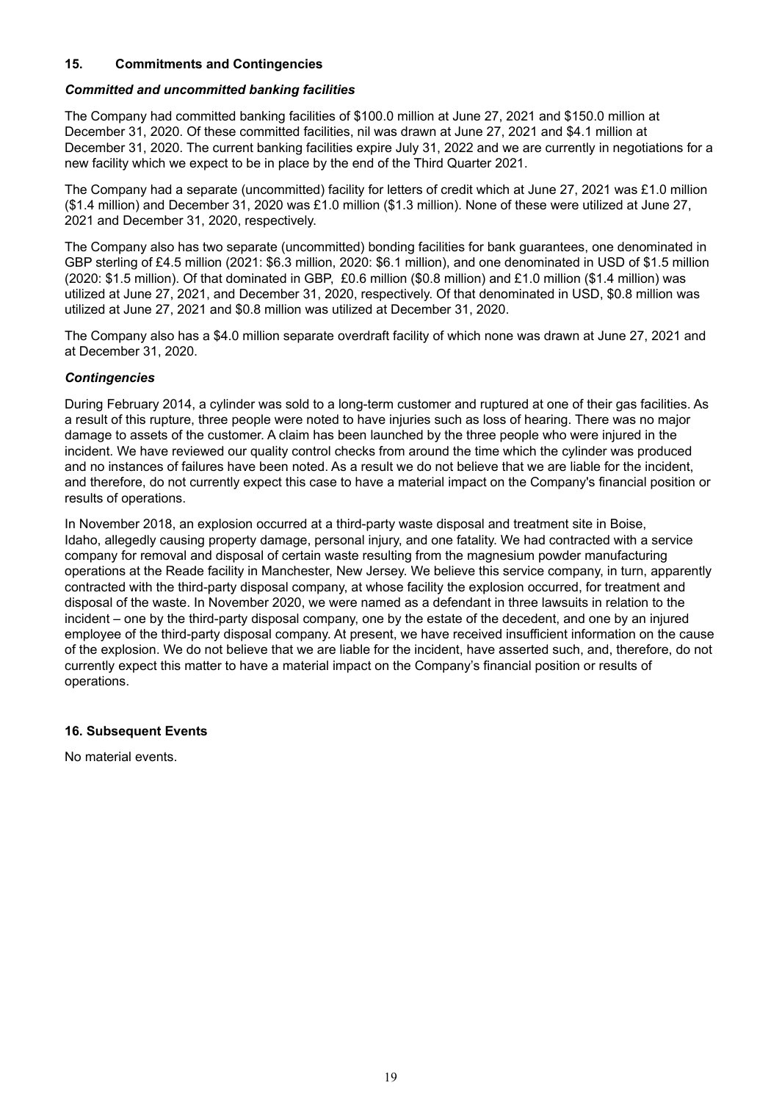# **15. Commitments and Contingencies**

#### *Committed and uncommitted banking facilities*

The Company had committed banking facilities of \$100.0 million at June 27, 2021 and \$150.0 million at December 31, 2020. Of these committed facilities, nil was drawn at June 27, 2021 and \$4.1 million at December 31, 2020. The current banking facilities expire July 31, 2022 and we are currently in negotiations for a new facility which we expect to be in place by the end of the Third Quarter 2021.

The Company had a separate (uncommitted) facility for letters of credit which at June 27, 2021 was £1.0 million (\$1.4 million) and December 31, 2020 was £1.0 million (\$1.3 million). None of these were utilized at June 27, 2021 and December 31, 2020, respectively.

The Company also has two separate (uncommitted) bonding facilities for bank guarantees, one denominated in GBP sterling of £4.5 million (2021: \$6.3 million, 2020: \$6.1 million), and one denominated in USD of \$1.5 million (2020: \$1.5 million). Of that dominated in GBP, £0.6 million (\$0.8 million) and £1.0 million (\$1.4 million) was utilized at June 27, 2021, and December 31, 2020, respectively. Of that denominated in USD, \$0.8 million was utilized at June 27, 2021 and \$0.8 million was utilized at December 31, 2020.

The Company also has a \$4.0 million separate overdraft facility of which none was drawn at June 27, 2021 and at December 31, 2020.

# *Contingencies*

During February 2014, a cylinder was sold to a long-term customer and ruptured at one of their gas facilities. As a result of this rupture, three people were noted to have injuries such as loss of hearing. There was no major damage to assets of the customer. A claim has been launched by the three people who were injured in the incident. We have reviewed our quality control checks from around the time which the cylinder was produced and no instances of failures have been noted. As a result we do not believe that we are liable for the incident, and therefore, do not currently expect this case to have a material impact on the Company's financial position or results of operations.

In November 2018, an explosion occurred at a third-party waste disposal and treatment site in Boise, Idaho, allegedly causing property damage, personal injury, and one fatality. We had contracted with a service company for removal and disposal of certain waste resulting from the magnesium powder manufacturing operations at the Reade facility in Manchester, New Jersey. We believe this service company, in turn, apparently contracted with the third-party disposal company, at whose facility the explosion occurred, for treatment and disposal of the waste. In November 2020, we were named as a defendant in three lawsuits in relation to the incident – one by the third-party disposal company, one by the estate of the decedent, and one by an injured employee of the third-party disposal company. At present, we have received insufficient information on the cause of the explosion. We do not believe that we are liable for the incident, have asserted such, and, therefore, do not currently expect this matter to have a material impact on the Company's financial position or results of operations.

# **16. Subsequent Events**

No material events.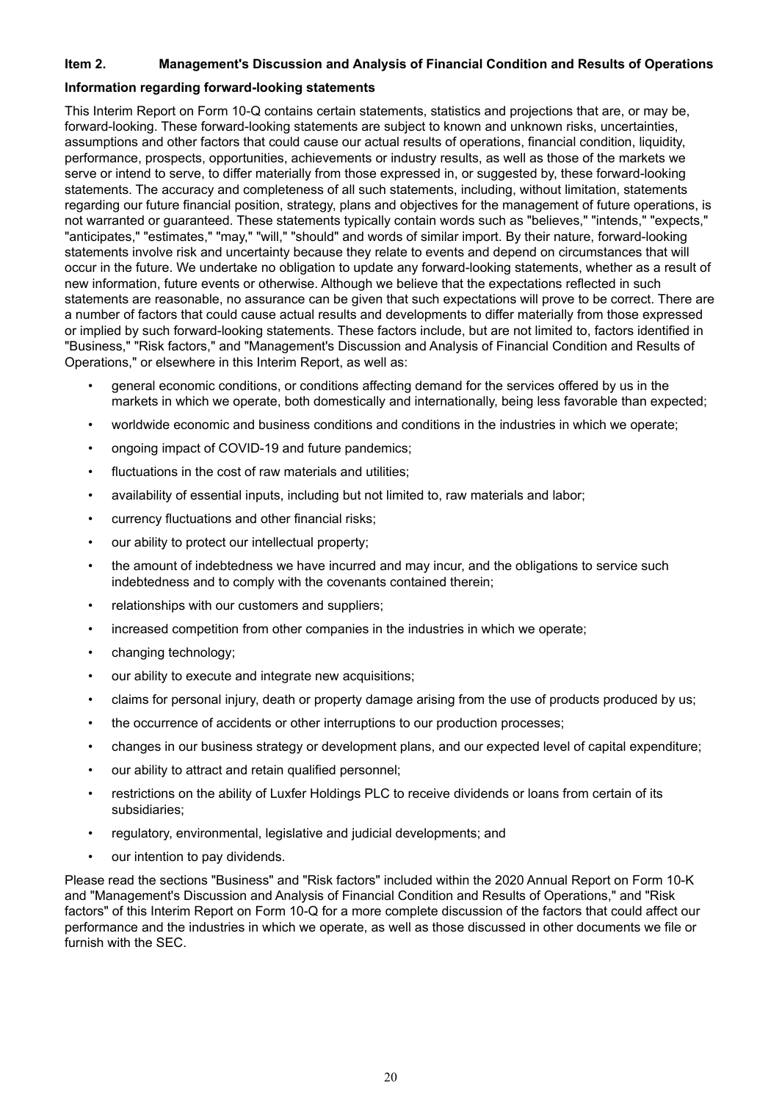# **Item 2. Management's Discussion and Analysis of Financial Condition and Results of Operations**

#### **Information regarding forward-looking statements**

This Interim Report on Form 10-Q contains certain statements, statistics and projections that are, or may be, forward-looking. These forward-looking statements are subject to known and unknown risks, uncertainties, assumptions and other factors that could cause our actual results of operations, financial condition, liquidity, performance, prospects, opportunities, achievements or industry results, as well as those of the markets we serve or intend to serve, to differ materially from those expressed in, or suggested by, these forward-looking statements. The accuracy and completeness of all such statements, including, without limitation, statements regarding our future financial position, strategy, plans and objectives for the management of future operations, is not warranted or guaranteed. These statements typically contain words such as "believes," "intends," "expects," "anticipates," "estimates," "may," "will," "should" and words of similar import. By their nature, forward-looking statements involve risk and uncertainty because they relate to events and depend on circumstances that will occur in the future. We undertake no obligation to update any forward-looking statements, whether as a result of new information, future events or otherwise. Although we believe that the expectations reflected in such statements are reasonable, no assurance can be given that such expectations will prove to be correct. There are a number of factors that could cause actual results and developments to differ materially from those expressed or implied by such forward-looking statements. These factors include, but are not limited to, factors identified in "Business," "Risk factors," and "Management's Discussion and Analysis of Financial Condition and Results of Operations," or elsewhere in this Interim Report, as well as:

- general economic conditions, or conditions affecting demand for the services offered by us in the markets in which we operate, both domestically and internationally, being less favorable than expected;
- worldwide economic and business conditions and conditions in the industries in which we operate;
- ongoing impact of COVID-19 and future pandemics;
- fluctuations in the cost of raw materials and utilities;
- availability of essential inputs, including but not limited to, raw materials and labor;
- currency fluctuations and other financial risks;
- our ability to protect our intellectual property;
- the amount of indebtedness we have incurred and may incur, and the obligations to service such indebtedness and to comply with the covenants contained therein;
- relationships with our customers and suppliers;
- increased competition from other companies in the industries in which we operate;
- changing technology;
- our ability to execute and integrate new acquisitions;
- claims for personal injury, death or property damage arising from the use of products produced by us;
- the occurrence of accidents or other interruptions to our production processes;
- changes in our business strategy or development plans, and our expected level of capital expenditure;
- our ability to attract and retain qualified personnel;
- restrictions on the ability of Luxfer Holdings PLC to receive dividends or loans from certain of its subsidiaries;
- regulatory, environmental, legislative and judicial developments; and
- our intention to pay dividends.

Please read the sections "Business" and "Risk factors" included within the 2020 Annual Report on Form 10-K and "Management's Discussion and Analysis of Financial Condition and Results of Operations," and "Risk factors" of this Interim Report on Form 10-Q for a more complete discussion of the factors that could affect our performance and the industries in which we operate, as well as those discussed in other documents we file or furnish with the SEC.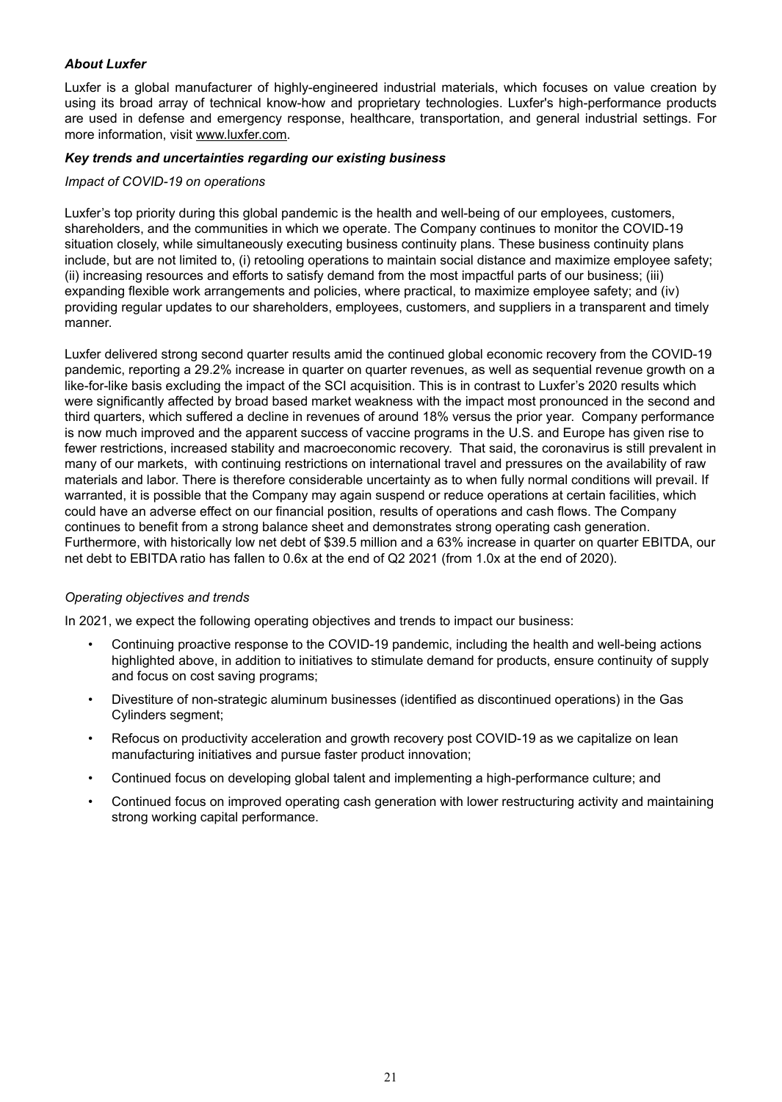# *About Luxfer*

Luxfer is a global manufacturer of highly-engineered industrial materials, which focuses on value creation by using its broad array of technical know-how and proprietary technologies. Luxfer's high-performance products are used in defense and emergency response, healthcare, transportation, and general industrial settings. For more information, visit www.luxfer.com.

## *Key trends and uncertainties regarding our existing business*

#### *Impact of COVID-19 on operations*

Luxfer's top priority during this global pandemic is the health and well-being of our employees, customers, shareholders, and the communities in which we operate. The Company continues to monitor the COVID-19 situation closely, while simultaneously executing business continuity plans. These business continuity plans include, but are not limited to, (i) retooling operations to maintain social distance and maximize employee safety; (ii) increasing resources and efforts to satisfy demand from the most impactful parts of our business; (iii) expanding flexible work arrangements and policies, where practical, to maximize employee safety; and (iv) providing regular updates to our shareholders, employees, customers, and suppliers in a transparent and timely manner.

Luxfer delivered strong second quarter results amid the continued global economic recovery from the COVID-19 pandemic, reporting a 29.2% increase in quarter on quarter revenues, as well as sequential revenue growth on a like-for-like basis excluding the impact of the SCI acquisition. This is in contrast to Luxfer's 2020 results which were significantly affected by broad based market weakness with the impact most pronounced in the second and third quarters, which suffered a decline in revenues of around 18% versus the prior year. Company performance is now much improved and the apparent success of vaccine programs in the U.S. and Europe has given rise to fewer restrictions, increased stability and macroeconomic recovery. That said, the coronavirus is still prevalent in many of our markets, with continuing restrictions on international travel and pressures on the availability of raw materials and labor. There is therefore considerable uncertainty as to when fully normal conditions will prevail. If warranted, it is possible that the Company may again suspend or reduce operations at certain facilities, which could have an adverse effect on our financial position, results of operations and cash flows. The Company continues to benefit from a strong balance sheet and demonstrates strong operating cash generation. Furthermore, with historically low net debt of \$39.5 million and a 63% increase in quarter on quarter EBITDA, our net debt to EBITDA ratio has fallen to 0.6x at the end of Q2 2021 (from 1.0x at the end of 2020).

# *Operating objectives and trends*

In 2021, we expect the following operating objectives and trends to impact our business:

- Continuing proactive response to the COVID-19 pandemic, including the health and well-being actions highlighted above, in addition to initiatives to stimulate demand for products, ensure continuity of supply and focus on cost saving programs;
- Divestiture of non-strategic aluminum businesses (identified as discontinued operations) in the Gas Cylinders segment;
- Refocus on productivity acceleration and growth recovery post COVID-19 as we capitalize on lean manufacturing initiatives and pursue faster product innovation;
- Continued focus on developing global talent and implementing a high-performance culture; and
- Continued focus on improved operating cash generation with lower restructuring activity and maintaining strong working capital performance.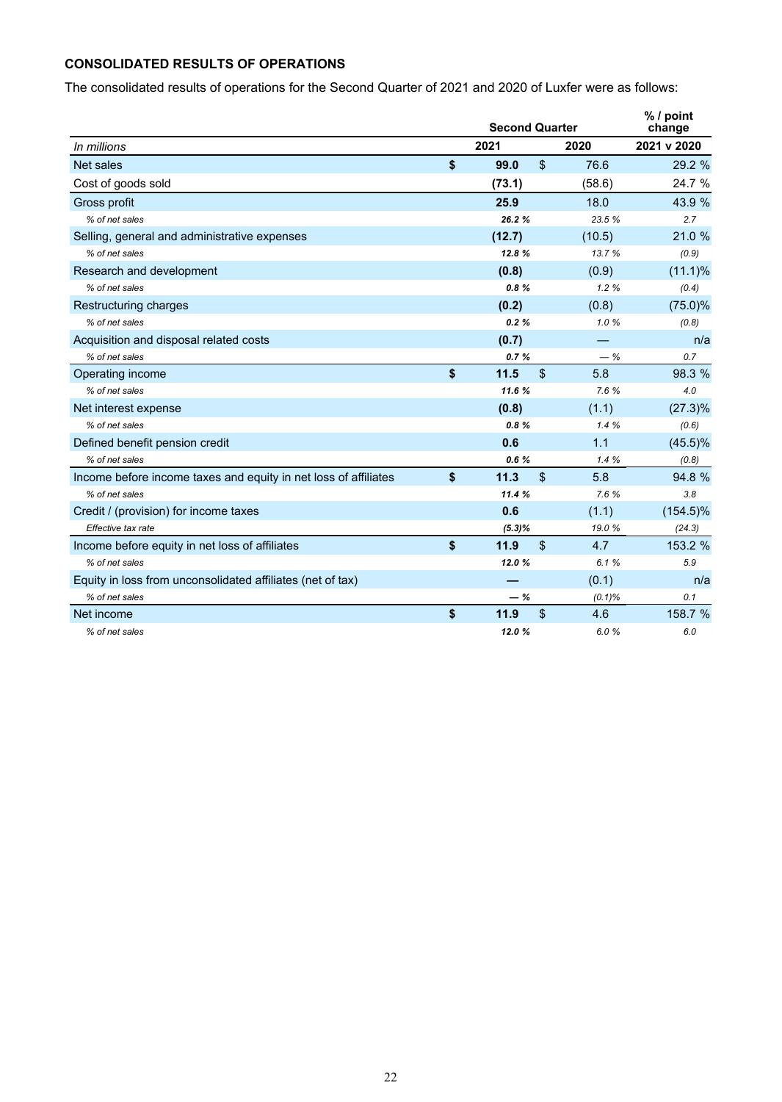# **CONSOLIDATED RESULTS OF OPERATIONS**

The consolidated results of operations for the Second Quarter of 2021 and 2020 of Luxfer were as follows:

|                                                                 | <b>Second Quarter</b> |                |           | $%$ / point<br>change |  |  |  |  |
|-----------------------------------------------------------------|-----------------------|----------------|-----------|-----------------------|--|--|--|--|
| In millions                                                     | 2021                  |                | 2020      | 2021 v 2020           |  |  |  |  |
| Net sales                                                       | \$<br>99.0            | $\$\$          | 76.6      | 29.2 %                |  |  |  |  |
| Cost of goods sold                                              | (73.1)                |                | (58.6)    | 24.7 %                |  |  |  |  |
| Gross profit                                                    | 25.9                  |                | 18.0      | 43.9 %                |  |  |  |  |
| % of net sales                                                  | 26.2%                 |                | 23.5 %    | 2.7                   |  |  |  |  |
| Selling, general and administrative expenses                    | (12.7)                |                | (10.5)    | 21.0 %                |  |  |  |  |
| % of net sales                                                  | 12.8%                 |                | 13.7 %    | (0.9)                 |  |  |  |  |
| Research and development                                        | (0.8)                 |                | (0.9)     | $(11.1)\%$            |  |  |  |  |
| % of net sales                                                  | 0.8%                  |                | 1.2%      | (0.4)                 |  |  |  |  |
| Restructuring charges                                           | (0.2)                 |                | (0.8)     | $(75.0)\%$            |  |  |  |  |
| % of net sales                                                  | 0.2%                  |                | 1.0%      | (0.8)                 |  |  |  |  |
| Acquisition and disposal related costs                          | (0.7)                 |                |           | n/a                   |  |  |  |  |
| % of net sales                                                  | 0.7%                  |                | $-$ %     | 0.7                   |  |  |  |  |
| Operating income                                                | \$<br>11.5            | $\mathfrak{L}$ | 5.8       | 98.3 %                |  |  |  |  |
| % of net sales                                                  | 11.6%                 |                | 7.6%      | 4.0                   |  |  |  |  |
| Net interest expense                                            | (0.8)                 |                | (1.1)     | $(27.3)\%$            |  |  |  |  |
| % of net sales                                                  | 0.8%                  |                | 1.4%      | (0.6)                 |  |  |  |  |
| Defined benefit pension credit                                  | 0.6                   |                | 1.1       | $(45.5)\%$            |  |  |  |  |
| % of net sales                                                  | 0.6%                  |                | 1.4%      | (0.8)                 |  |  |  |  |
| Income before income taxes and equity in net loss of affiliates | \$<br>11.3            | $\mathsf{\$}$  | 5.8       | 94.8 %                |  |  |  |  |
| % of net sales                                                  | 11.4 %                |                | 7.6%      | 3.8                   |  |  |  |  |
| Credit / (provision) for income taxes                           | 0.6                   |                | (1.1)     | $(154.5)\%$           |  |  |  |  |
| Effective tax rate                                              | $(5.3)\%$             |                | 19.0%     | (24.3)                |  |  |  |  |
| Income before equity in net loss of affiliates                  | \$<br>11.9            | $\mathcal{S}$  | 4.7       | 153.2 %               |  |  |  |  |
| % of net sales                                                  | 12.0%                 |                | 6.1%      | 5.9                   |  |  |  |  |
| Equity in loss from unconsolidated affiliates (net of tax)      |                       |                | (0.1)     | n/a                   |  |  |  |  |
| % of net sales                                                  | - %                   |                | $(0.1)\%$ | 0.1                   |  |  |  |  |
| Net income                                                      | \$<br>11.9            | \$             | 4.6       | 158.7 %               |  |  |  |  |
| % of net sales                                                  | 12.0%                 |                | 6.0%      | 6.0                   |  |  |  |  |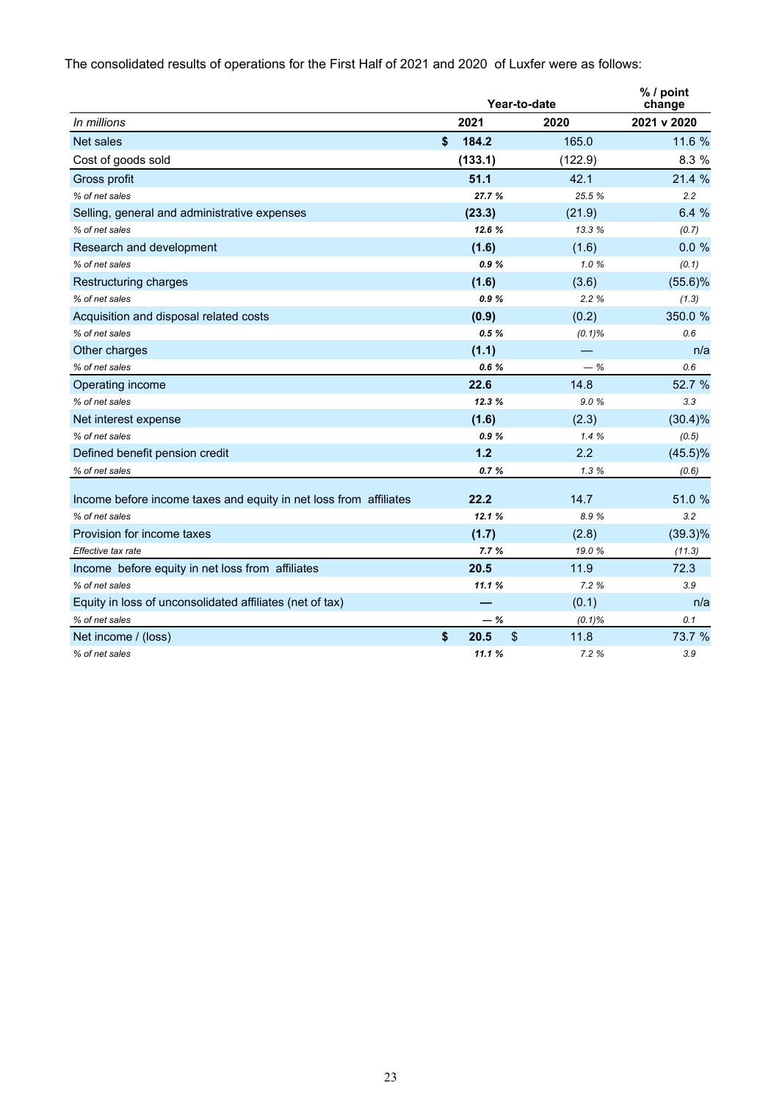The consolidated results of operations for the First Half of 2021 and 2020 of Luxfer were as follows:

|                                                                   | Year-to-date                |           | % / point<br>change |
|-------------------------------------------------------------------|-----------------------------|-----------|---------------------|
| In millions                                                       | 2021                        | 2020      | 2021 v 2020         |
| Net sales                                                         | \$<br>184.2                 | 165.0     | 11.6 %              |
| Cost of goods sold                                                | (133.1)                     | (122.9)   | 8.3 %               |
| Gross profit                                                      | 51.1                        | 42.1      | 21.4 %              |
| % of net sales                                                    | 27.7 %                      | 25.5 %    | 2.2                 |
| Selling, general and administrative expenses                      | (23.3)                      | (21.9)    | 6.4 %               |
| % of net sales                                                    | 12.6%                       | 13.3 %    | (0.7)               |
| Research and development                                          | (1.6)                       | (1.6)     | 0.0%                |
| % of net sales                                                    | 0.9%                        | 1.0%      | (0.1)               |
| Restructuring charges                                             | (1.6)                       | (3.6)     | $(55.6)\%$          |
| % of net sales                                                    | 0.9%                        | 2.2%      | (1.3)               |
| Acquisition and disposal related costs                            | (0.9)                       | (0.2)     | 350.0 %             |
| % of net sales                                                    | 0.5%                        | $(0.1)\%$ | 0.6                 |
| Other charges                                                     | (1.1)                       |           | n/a                 |
| % of net sales                                                    | 0.6%                        | $-$ %     | 0.6                 |
| Operating income                                                  | 22.6                        | 14.8      | 52.7 %              |
| % of net sales                                                    | 12.3%                       | 9.0%      | 3.3                 |
| Net interest expense                                              | (1.6)                       | (2.3)     | $(30.4)\%$          |
| % of net sales                                                    | 0.9%                        | 1.4%      | (0.5)               |
| Defined benefit pension credit                                    | $1.2$                       | 2.2       | $(45.5)\%$          |
| % of net sales                                                    | 0.7%                        | 1.3%      | (0.6)               |
|                                                                   |                             | 14.7      |                     |
| Income before income taxes and equity in net loss from affiliates | 22.2                        |           | 51.0 %              |
| % of net sales                                                    | 12.1%                       | 8.9%      | 3.2                 |
| Provision for income taxes                                        | (1.7)                       | (2.8)     | $(39.3)\%$          |
| Effective tax rate                                                | 7.7%                        | 19.0%     | (11.3)              |
| Income before equity in net loss from affiliates                  | 20.5                        | 11.9      | 72.3                |
| % of net sales                                                    | 11.1%                       | 7.2 %     | 3.9                 |
| Equity in loss of unconsolidated affiliates (net of tax)          |                             | (0.1)     | n/a                 |
| % of net sales                                                    | $-$ %                       | $(0.1)\%$ | 0.1                 |
| Net income / (loss)                                               | \$<br>$\mathsf{\$}$<br>20.5 | 11.8      | 73.7 %              |
| % of net sales                                                    | 11.1%                       | 7.2%      | 3.9                 |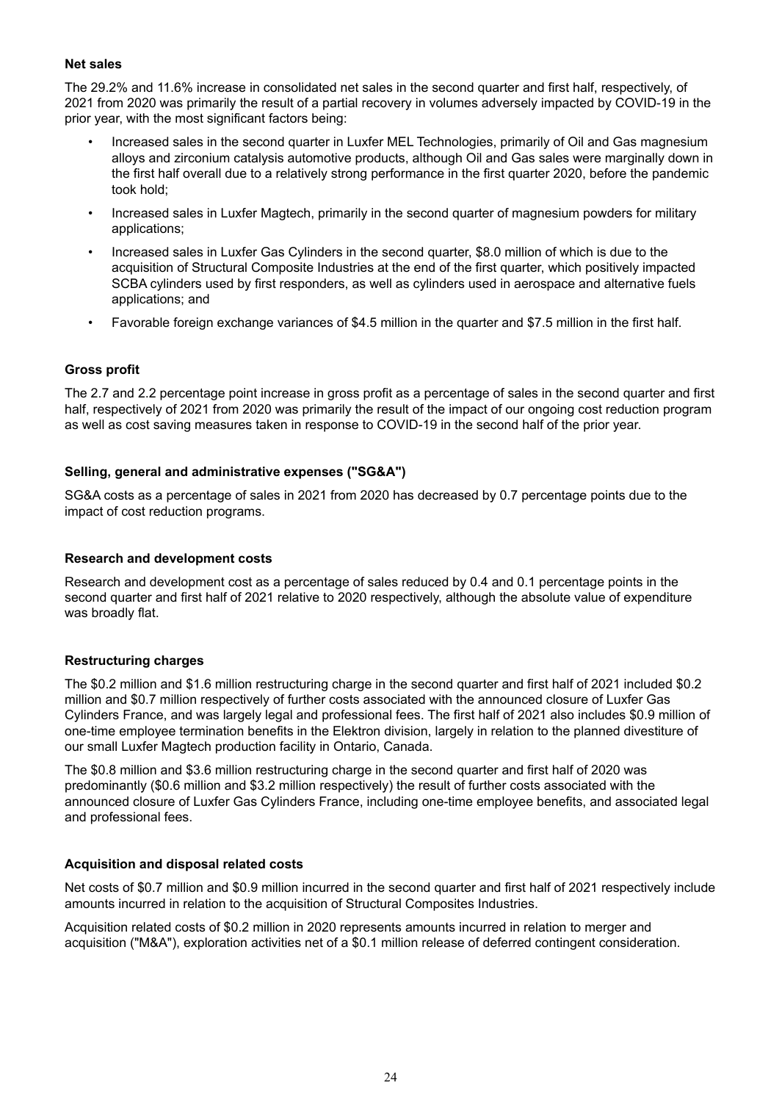#### **Net sales**

The 29.2% and 11.6% increase in consolidated net sales in the second quarter and first half, respectively, of 2021 from 2020 was primarily the result of a partial recovery in volumes adversely impacted by COVID-19 in the prior year, with the most significant factors being:

- Increased sales in the second quarter in Luxfer MEL Technologies, primarily of Oil and Gas magnesium alloys and zirconium catalysis automotive products, although Oil and Gas sales were marginally down in the first half overall due to a relatively strong performance in the first quarter 2020, before the pandemic took hold;
- Increased sales in Luxfer Magtech, primarily in the second quarter of magnesium powders for military applications;
- Increased sales in Luxfer Gas Cylinders in the second quarter, \$8.0 million of which is due to the acquisition of Structural Composite Industries at the end of the first quarter, which positively impacted SCBA cylinders used by first responders, as well as cylinders used in aerospace and alternative fuels applications; and
- Favorable foreign exchange variances of \$4.5 million in the quarter and \$7.5 million in the first half.

#### **Gross profit**

The 2.7 and 2.2 percentage point increase in gross profit as a percentage of sales in the second quarter and first half, respectively of 2021 from 2020 was primarily the result of the impact of our ongoing cost reduction program as well as cost saving measures taken in response to COVID-19 in the second half of the prior year.

#### **Selling, general and administrative expenses ("SG&A")**

SG&A costs as a percentage of sales in 2021 from 2020 has decreased by 0.7 percentage points due to the impact of cost reduction programs.

#### **Research and development costs**

Research and development cost as a percentage of sales reduced by 0.4 and 0.1 percentage points in the second quarter and first half of 2021 relative to 2020 respectively, although the absolute value of expenditure was broadly flat.

#### **Restructuring charges**

The \$0.2 million and \$1.6 million restructuring charge in the second quarter and first half of 2021 included \$0.2 million and \$0.7 million respectively of further costs associated with the announced closure of Luxfer Gas Cylinders France, and was largely legal and professional fees. The first half of 2021 also includes \$0.9 million of one-time employee termination benefits in the Elektron division, largely in relation to the planned divestiture of our small Luxfer Magtech production facility in Ontario, Canada.

The \$0.8 million and \$3.6 million restructuring charge in the second quarter and first half of 2020 was predominantly (\$0.6 million and \$3.2 million respectively) the result of further costs associated with the announced closure of Luxfer Gas Cylinders France, including one-time employee benefits, and associated legal and professional fees.

#### **Acquisition and disposal related costs**

Net costs of \$0.7 million and \$0.9 million incurred in the second quarter and first half of 2021 respectively include amounts incurred in relation to the acquisition of Structural Composites Industries.

Acquisition related costs of \$0.2 million in 2020 represents amounts incurred in relation to merger and acquisition ("M&A"), exploration activities net of a \$0.1 million release of deferred contingent consideration.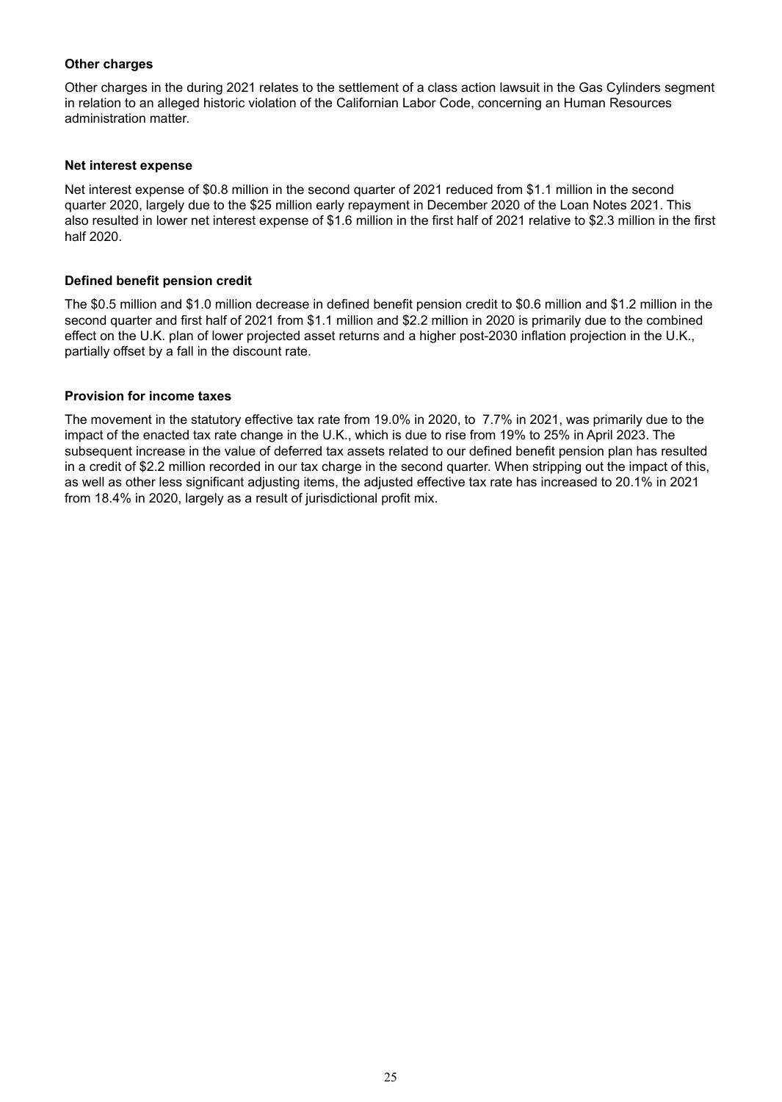# **Other charges**

Other charges in the during 2021 relates to the settlement of a class action lawsuit in the Gas Cylinders segment in relation to an alleged historic violation of the Californian Labor Code, concerning an Human Resources administration matter.

#### **Net interest expense**

Net interest expense of \$0.8 million in the second quarter of 2021 reduced from \$1.1 million in the second quarter 2020, largely due to the \$25 million early repayment in December 2020 of the Loan Notes 2021. This also resulted in lower net interest expense of \$1.6 million in the first half of 2021 relative to \$2.3 million in the first half 2020.

#### **Defined benefit pension credit**

The \$0.5 million and \$1.0 million decrease in defined benefit pension credit to \$0.6 million and \$1.2 million in the second quarter and first half of 2021 from \$1.1 million and \$2.2 million in 2020 is primarily due to the combined effect on the U.K. plan of lower projected asset returns and a higher post-2030 inflation projection in the U.K., partially offset by a fall in the discount rate.

#### **Provision for income taxes**

The movement in the statutory effective tax rate from 19.0% in 2020, to 7.7% in 2021, was primarily due to the impact of the enacted tax rate change in the U.K., which is due to rise from 19% to 25% in April 2023. The subsequent increase in the value of deferred tax assets related to our defined benefit pension plan has resulted in a credit of \$2.2 million recorded in our tax charge in the second quarter. When stripping out the impact of this, as well as other less significant adjusting items, the adjusted effective tax rate has increased to 20.1% in 2021 from 18.4% in 2020, largely as a result of jurisdictional profit mix.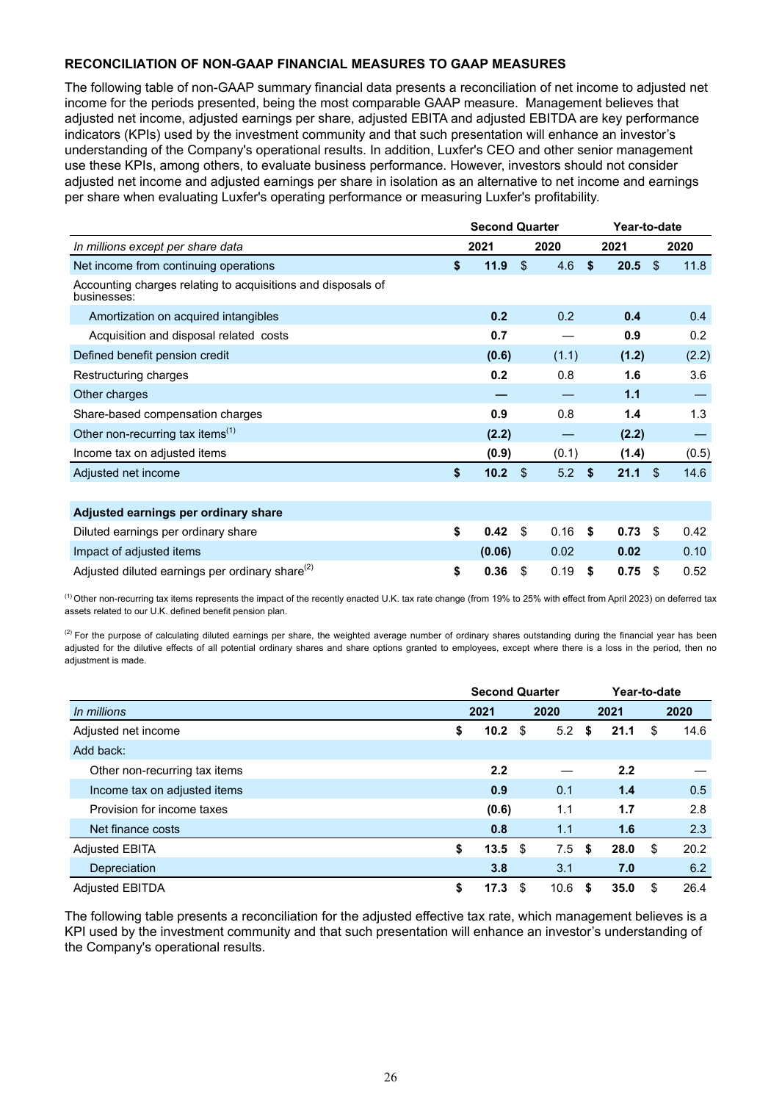# **RECONCILIATION OF NON-GAAP FINANCIAL MEASURES TO GAAP MEASURES**

The following table of non-GAAP summary financial data presents a reconciliation of net income to adjusted net income for the periods presented, being the most comparable GAAP measure. Management believes that adjusted net income, adjusted earnings per share, adjusted EBITA and adjusted EBITDA are key performance indicators (KPIs) used by the investment community and that such presentation will enhance an investor's understanding of the Company's operational results. In addition, Luxfer's CEO and other senior management use these KPIs, among others, to evaluate business performance. However, investors should not consider adjusted net income and adjusted earnings per share in isolation as an alternative to net income and earnings per share when evaluating Luxfer's operating performance or measuring Luxfer's profitability.

|                                                                             | <b>Second Quarter</b> |                |       | Year-to-date |           |      |       |  |  |
|-----------------------------------------------------------------------------|-----------------------|----------------|-------|--------------|-----------|------|-------|--|--|
| In millions except per share data                                           | 2021                  |                | 2020  |              | 2021      | 2020 |       |  |  |
| Net income from continuing operations                                       | \$<br>11.9            | \$.            | 4.6   | Ŝ.           | $20.5$ \$ |      | 11.8  |  |  |
| Accounting charges relating to acquisitions and disposals of<br>businesses: |                       |                |       |              |           |      |       |  |  |
| Amortization on acquired intangibles                                        | 0.2                   |                | 0.2   |              | 0.4       |      | 0.4   |  |  |
| Acquisition and disposal related costs                                      | 0.7                   |                |       |              | 0.9       |      | 0.2   |  |  |
| Defined benefit pension credit                                              | (0.6)                 |                | (1.1) |              | (1.2)     |      | (2.2) |  |  |
| Restructuring charges                                                       | 0.2                   |                | 0.8   |              | 1.6       |      | 3.6   |  |  |
| Other charges                                                               |                       |                |       |              | 1.1       |      |       |  |  |
| Share-based compensation charges                                            | 0.9                   |                | 0.8   |              | 1.4       |      | 1.3   |  |  |
| Other non-recurring tax items $(1)$                                         | (2.2)                 |                |       |              | (2.2)     |      |       |  |  |
| Income tax on adjusted items                                                | (0.9)                 |                | (0.1) |              | (1.4)     |      | (0.5) |  |  |
| Adjusted net income                                                         | \$<br>10.2            | $\mathfrak{L}$ | 5.2   | \$           | 21.1 S    |      | 14.6  |  |  |
|                                                                             |                       |                |       |              |           |      |       |  |  |
| Adjusted earnings per ordinary share                                        |                       |                |       |              |           |      |       |  |  |
| Diluted earnings per ordinary share                                         | \$<br>0.42            | \$             | 0.16  | \$           | 0.73      | \$   | 0.42  |  |  |
| Impact of adjusted items                                                    | (0.06)                |                | 0.02  |              | 0.02      |      | 0.10  |  |  |
| Adjusted diluted earnings per ordinary share <sup>(2)</sup>                 | \$<br>0.36            | S              | 0.19  | S            | 0.75      | S    | 0.52  |  |  |

 $<sup>(1)</sup>$  Other non-recurring tax items represents the impact of the recently enacted U.K. tax rate change (from 19% to 25% with effect from April 2023) on deferred tax</sup> assets related to our U.K. defined benefit pension plan.

 $^{(2)}$  For the purpose of calculating diluted earnings per share, the weighted average number of ordinary shares outstanding during the financial year has been adjusted for the dilutive effects of all potential ordinary shares and share options granted to employees, except where there is a loss in the period, then no adjustment is made.

|                               | <b>Second Quarter</b> |      |      |    |      | Year-to-date |      |  |
|-------------------------------|-----------------------|------|------|----|------|--------------|------|--|
| In millions                   | 2021<br>2020          |      |      |    | 2021 |              | 2020 |  |
| Adjusted net income           | \$<br>10.2            | -\$  | 5.2  | S. | 21.1 | \$           | 14.6 |  |
| Add back:                     |                       |      |      |    |      |              |      |  |
| Other non-recurring tax items | 2.2                   |      |      |    | 2.2  |              |      |  |
| Income tax on adjusted items  | 0.9                   |      | 0.1  |    | 1.4  |              | 0.5  |  |
| Provision for income taxes    | (0.6)                 |      | 1.1  |    | 1.7  |              | 2.8  |  |
| Net finance costs             | 0.8                   |      | 1.1  |    | 1.6  |              | 2.3  |  |
| <b>Adjusted EBITA</b>         | \$<br>13.5            | - \$ | 7.5  | S  | 28.0 | \$           | 20.2 |  |
| Depreciation                  | 3.8                   |      | 3.1  |    | 7.0  |              | 6.2  |  |
| <b>Adjusted EBITDA</b>        | \$<br>17.3            | S    | 10.6 | S  | 35.0 | \$           | 26.4 |  |

The following table presents a reconciliation for the adjusted effective tax rate, which management believes is a KPI used by the investment community and that such presentation will enhance an investor's understanding of the Company's operational results.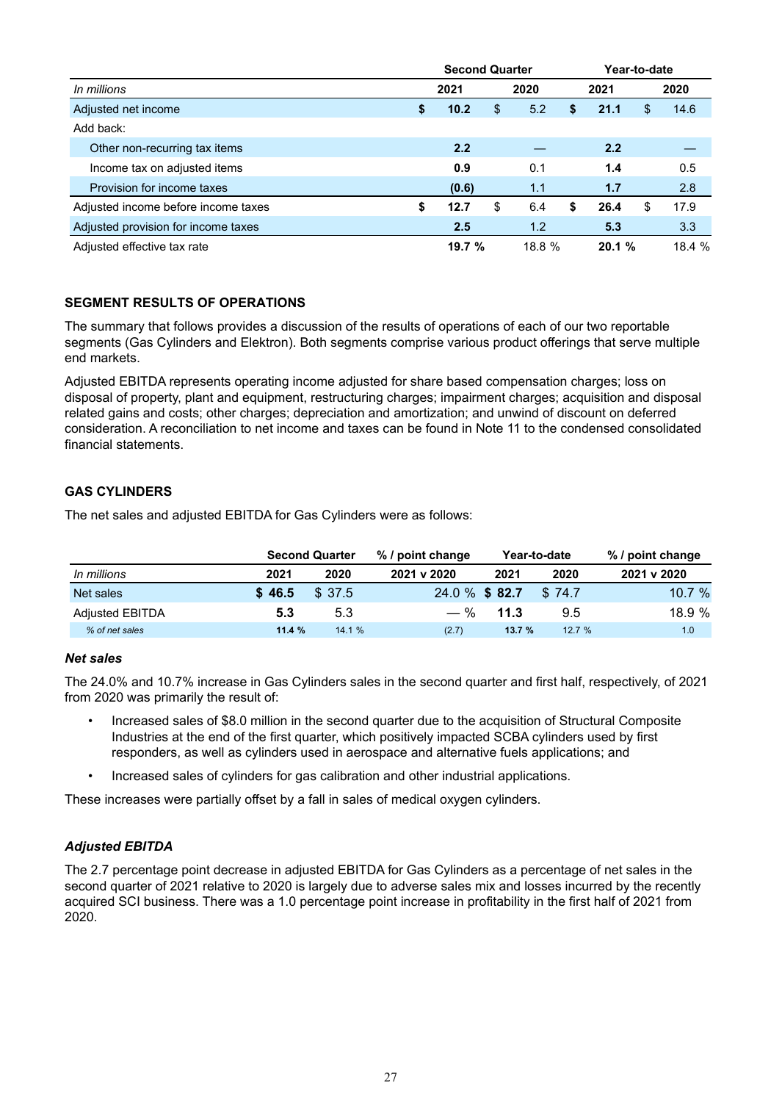|                                     |    | <b>Second Quarter</b> |    |        |   |        | Year-to-date |        |  |  |
|-------------------------------------|----|-----------------------|----|--------|---|--------|--------------|--------|--|--|
| In millions                         |    | 2021                  |    | 2020   |   | 2021   |              | 2020   |  |  |
| Adjusted net income                 | \$ | 10.2                  | \$ | 5.2    | S | 21.1   | S            | 14.6   |  |  |
| Add back:                           |    |                       |    |        |   |        |              |        |  |  |
| Other non-recurring tax items       |    | 2.2                   |    |        |   | 2.2    |              |        |  |  |
| Income tax on adjusted items        |    | 0.9                   |    | 0.1    |   | 1.4    |              | 0.5    |  |  |
| Provision for income taxes          |    | (0.6)                 |    | 1.1    |   | 1.7    |              | 2.8    |  |  |
| Adjusted income before income taxes | S  | 12.7                  | \$ | 6.4    | S | 26.4   | S            | 17.9   |  |  |
| Adjusted provision for income taxes |    | 2.5                   |    | 1.2    |   | 5.3    |              | 3.3    |  |  |
| Adjusted effective tax rate         |    | 19.7%                 |    | 18.8 % |   | 20.1 % |              | 18.4 % |  |  |

# **SEGMENT RESULTS OF OPERATIONS**

The summary that follows provides a discussion of the results of operations of each of our two reportable segments (Gas Cylinders and Elektron). Both segments comprise various product offerings that serve multiple end markets.

Adjusted EBITDA represents operating income adjusted for share based compensation charges; loss on disposal of property, plant and equipment, restructuring charges; impairment charges; acquisition and disposal related gains and costs; other charges; depreciation and amortization; and unwind of discount on deferred consideration. A reconciliation to net income and taxes can be found in Note 11 to the condensed consolidated financial statements.

# **GAS CYLINDERS**

The net sales and adjusted EBITDA for Gas Cylinders were as follows:

| <b>Second Quarter</b>  |        |        | % / point change |       | Year-to-date | % / point change |  |  |
|------------------------|--------|--------|------------------|-------|--------------|------------------|--|--|
| In millions            | 2021   | 2020   | 2021 v 2020      | 2021  | 2020         | 2021 v 2020      |  |  |
| Net sales              | \$46.5 | \$37.5 | 24.0 % \$82.7    |       | \$74.7       | 10.7 $%$         |  |  |
| <b>Adjusted EBITDA</b> | 5.3    | 5.3    | $-$ %            | 11.3  | 9.5          | 18.9%            |  |  |
| % of net sales         | 11.4%  | 14.1%  | (2.7)            | 13.7% | 12.7%        | 1.0              |  |  |

# *Net sales*

The 24.0% and 10.7% increase in Gas Cylinders sales in the second quarter and first half, respectively, of 2021 from 2020 was primarily the result of:

- Increased sales of \$8.0 million in the second quarter due to the acquisition of Structural Composite Industries at the end of the first quarter, which positively impacted SCBA cylinders used by first responders, as well as cylinders used in aerospace and alternative fuels applications; and
- Increased sales of cylinders for gas calibration and other industrial applications.

These increases were partially offset by a fall in sales of medical oxygen cylinders.

# *Adjusted EBITDA*

The 2.7 percentage point decrease in adjusted EBITDA for Gas Cylinders as a percentage of net sales in the second quarter of 2021 relative to 2020 is largely due to adverse sales mix and losses incurred by the recently acquired SCI business. There was a 1.0 percentage point increase in profitability in the first half of 2021 from 2020.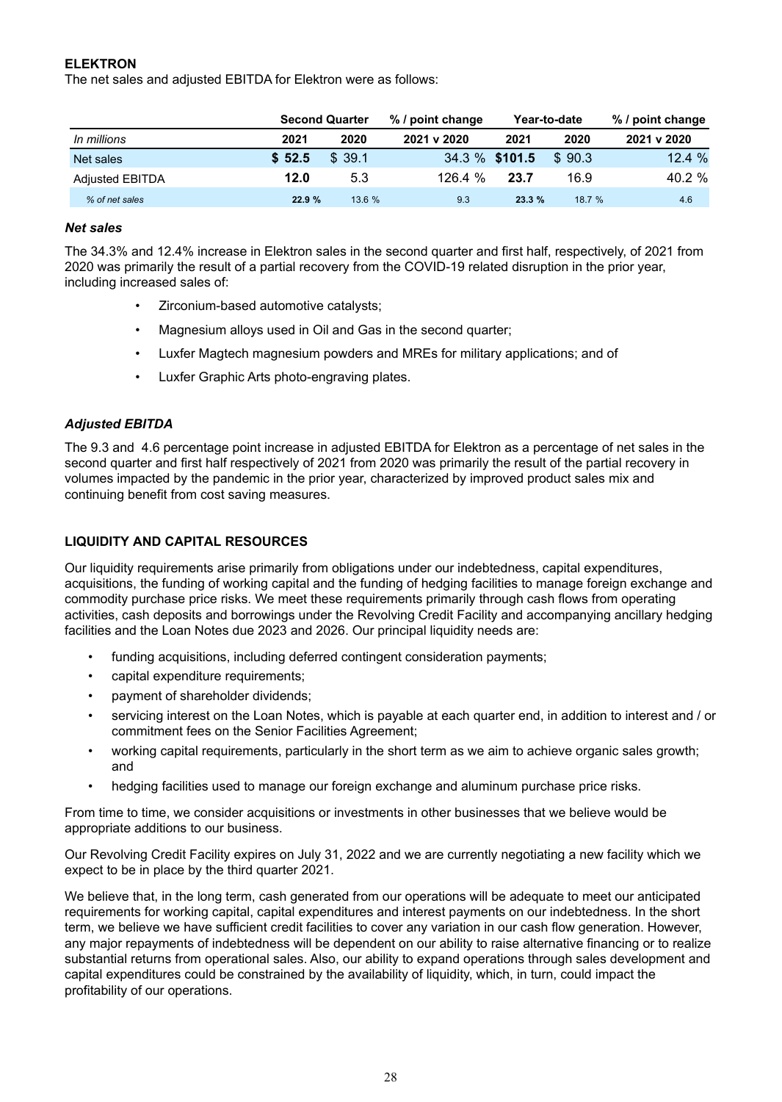# **ELEKTRON**

The net sales and adjusted EBITDA for Elektron were as follows:

|                        |        | % / point change<br><b>Second Quarter</b> |                |       | Year-to-date | % / point change |  |  |  |
|------------------------|--------|-------------------------------------------|----------------|-------|--------------|------------------|--|--|--|
| In millions            | 2021   | 2020                                      | 2021 v 2020    | 2021  | 2020         | 2021 v 2020      |  |  |  |
| Net sales              | \$52.5 | \$39.1                                    | 34.3 % \$101.5 |       | \$90.3       | 12.4%            |  |  |  |
| <b>Adjusted EBITDA</b> | 12.0   | 5.3                                       | 126.4%         | 23.7  | 16.9         | 40.2 %           |  |  |  |
| % of net sales         | 22.9%  | 13.6%                                     | 9.3            | 23.3% | 18.7 %       | 4.6              |  |  |  |

#### *Net sales*

The 34.3% and 12.4% increase in Elektron sales in the second quarter and first half, respectively, of 2021 from 2020 was primarily the result of a partial recovery from the COVID-19 related disruption in the prior year, including increased sales of:

- Zirconium-based automotive catalysts;
- Magnesium alloys used in Oil and Gas in the second quarter;
- Luxfer Magtech magnesium powders and MREs for military applications; and of
- Luxfer Graphic Arts photo-engraving plates.

# *Adjusted EBITDA*

The 9.3 and 4.6 percentage point increase in adjusted EBITDA for Elektron as a percentage of net sales in the second quarter and first half respectively of 2021 from 2020 was primarily the result of the partial recovery in volumes impacted by the pandemic in the prior year, characterized by improved product sales mix and continuing benefit from cost saving measures.

# **LIQUIDITY AND CAPITAL RESOURCES**

Our liquidity requirements arise primarily from obligations under our indebtedness, capital expenditures, acquisitions, the funding of working capital and the funding of hedging facilities to manage foreign exchange and commodity purchase price risks. We meet these requirements primarily through cash flows from operating activities, cash deposits and borrowings under the Revolving Credit Facility and accompanying ancillary hedging facilities and the Loan Notes due 2023 and 2026. Our principal liquidity needs are:

- funding acquisitions, including deferred contingent consideration payments;
- capital expenditure requirements;
- payment of shareholder dividends;
- servicing interest on the Loan Notes, which is payable at each quarter end, in addition to interest and / or commitment fees on the Senior Facilities Agreement;
- working capital requirements, particularly in the short term as we aim to achieve organic sales growth; and
- hedging facilities used to manage our foreign exchange and aluminum purchase price risks.

From time to time, we consider acquisitions or investments in other businesses that we believe would be appropriate additions to our business.

Our Revolving Credit Facility expires on July 31, 2022 and we are currently negotiating a new facility which we expect to be in place by the third quarter 2021.

We believe that, in the long term, cash generated from our operations will be adequate to meet our anticipated requirements for working capital, capital expenditures and interest payments on our indebtedness. In the short term, we believe we have sufficient credit facilities to cover any variation in our cash flow generation. However, any major repayments of indebtedness will be dependent on our ability to raise alternative financing or to realize substantial returns from operational sales. Also, our ability to expand operations through sales development and capital expenditures could be constrained by the availability of liquidity, which, in turn, could impact the profitability of our operations.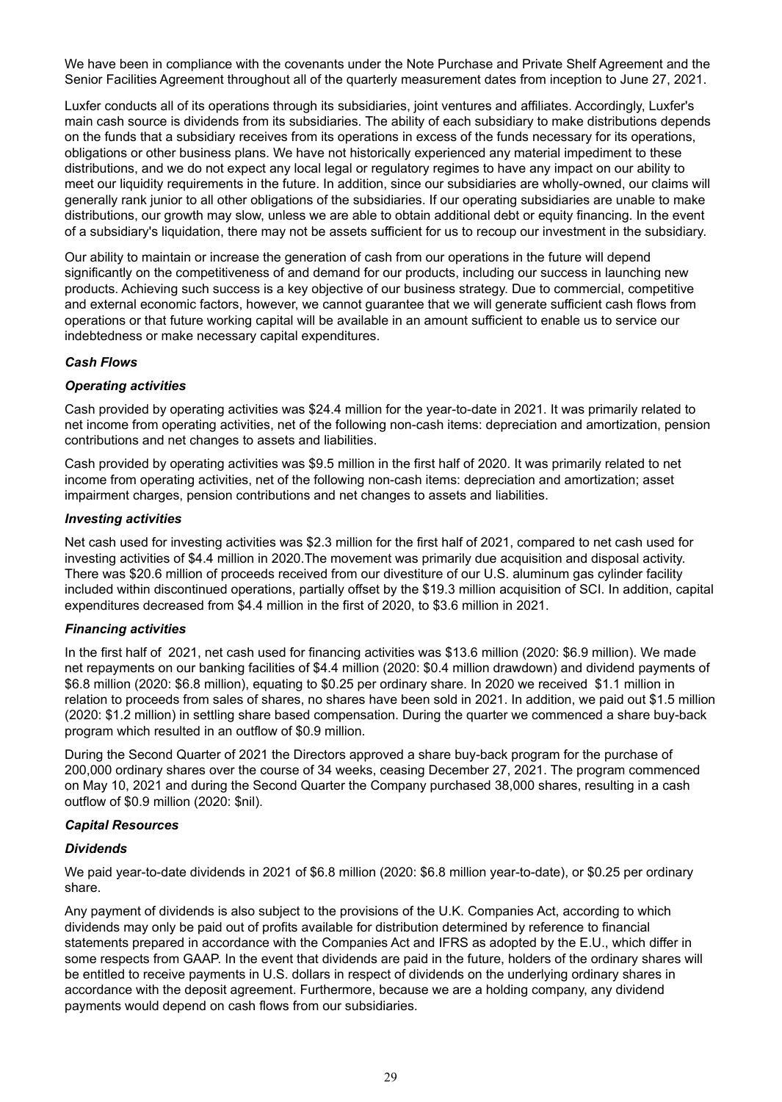We have been in compliance with the covenants under the Note Purchase and Private Shelf Agreement and the Senior Facilities Agreement throughout all of the quarterly measurement dates from inception to June 27, 2021.

Luxfer conducts all of its operations through its subsidiaries, joint ventures and affiliates. Accordingly, Luxfer's main cash source is dividends from its subsidiaries. The ability of each subsidiary to make distributions depends on the funds that a subsidiary receives from its operations in excess of the funds necessary for its operations, obligations or other business plans. We have not historically experienced any material impediment to these distributions, and we do not expect any local legal or regulatory regimes to have any impact on our ability to meet our liquidity requirements in the future. In addition, since our subsidiaries are wholly-owned, our claims will generally rank junior to all other obligations of the subsidiaries. If our operating subsidiaries are unable to make distributions, our growth may slow, unless we are able to obtain additional debt or equity financing. In the event of a subsidiary's liquidation, there may not be assets sufficient for us to recoup our investment in the subsidiary.

Our ability to maintain or increase the generation of cash from our operations in the future will depend significantly on the competitiveness of and demand for our products, including our success in launching new products. Achieving such success is a key objective of our business strategy. Due to commercial, competitive and external economic factors, however, we cannot guarantee that we will generate sufficient cash flows from operations or that future working capital will be available in an amount sufficient to enable us to service our indebtedness or make necessary capital expenditures.

# *Cash Flows*

#### *Operating activities*

Cash provided by operating activities was \$24.4 million for the year-to-date in 2021. It was primarily related to net income from operating activities, net of the following non-cash items: depreciation and amortization, pension contributions and net changes to assets and liabilities.

Cash provided by operating activities was \$9.5 million in the first half of 2020. It was primarily related to net income from operating activities, net of the following non-cash items: depreciation and amortization; asset impairment charges, pension contributions and net changes to assets and liabilities.

#### *Investing activities*

Net cash used for investing activities was \$2.3 million for the first half of 2021, compared to net cash used for investing activities of \$4.4 million in 2020.The movement was primarily due acquisition and disposal activity. There was \$20.6 million of proceeds received from our divestiture of our U.S. aluminum gas cylinder facility included within discontinued operations, partially offset by the \$19.3 million acquisition of SCI. In addition, capital expenditures decreased from \$4.4 million in the first of 2020, to \$3.6 million in 2021.

#### *Financing activities*

In the first half of 2021, net cash used for financing activities was \$13.6 million (2020: \$6.9 million). We made net repayments on our banking facilities of \$4.4 million (2020: \$0.4 million drawdown) and dividend payments of \$6.8 million (2020: \$6.8 million), equating to \$0.25 per ordinary share. In 2020 we received \$1.1 million in relation to proceeds from sales of shares, no shares have been sold in 2021. In addition, we paid out \$1.5 million (2020: \$1.2 million) in settling share based compensation. During the quarter we commenced a share buy-back program which resulted in an outflow of \$0.9 million.

During the Second Quarter of 2021 the Directors approved a share buy-back program for the purchase of 200,000 ordinary shares over the course of 34 weeks, ceasing December 27, 2021. The program commenced on May 10, 2021 and during the Second Quarter the Company purchased 38,000 shares, resulting in a cash outflow of \$0.9 million (2020: \$nil).

#### *Capital Resources*

#### *Dividends*

We paid year-to-date dividends in 2021 of \$6.8 million (2020: \$6.8 million year-to-date), or \$0.25 per ordinary share.

Any payment of dividends is also subject to the provisions of the U.K. Companies Act, according to which dividends may only be paid out of profits available for distribution determined by reference to financial statements prepared in accordance with the Companies Act and IFRS as adopted by the E.U., which differ in some respects from GAAP. In the event that dividends are paid in the future, holders of the ordinary shares will be entitled to receive payments in U.S. dollars in respect of dividends on the underlying ordinary shares in accordance with the deposit agreement. Furthermore, because we are a holding company, any dividend payments would depend on cash flows from our subsidiaries.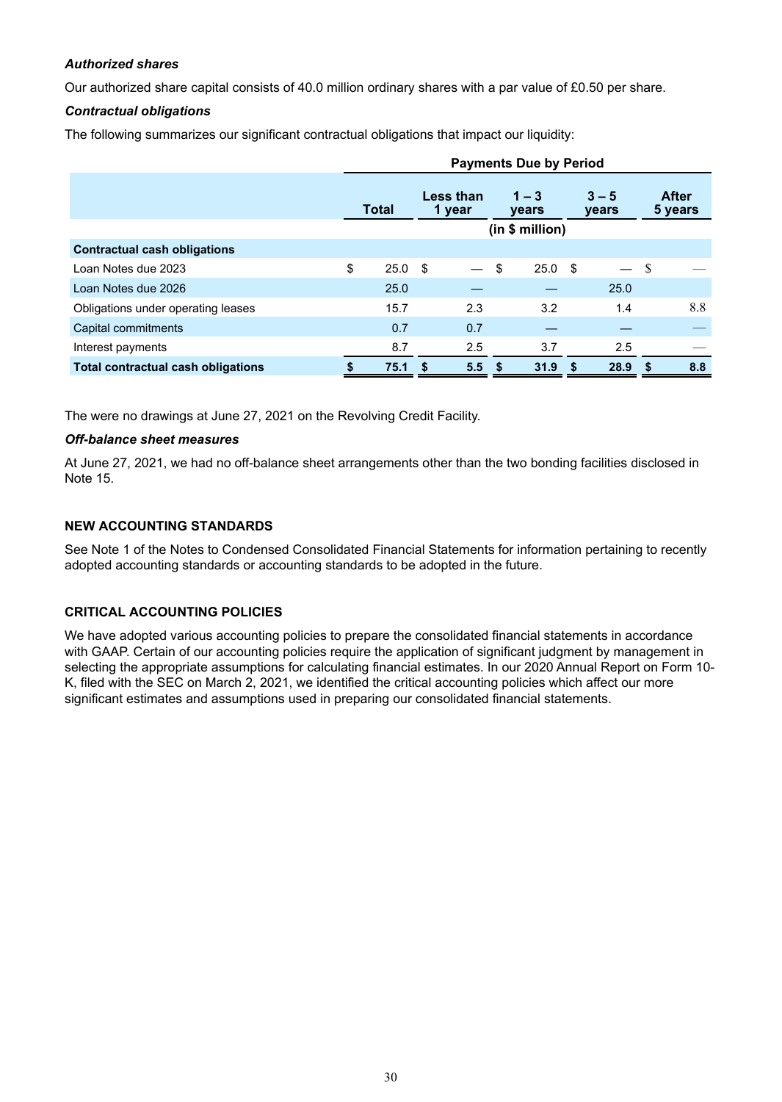# *Authorized shares*

Our authorized share capital consists of 40.0 million ordinary shares with a par value of £0.50 per share.

# *Contractual obligations*

The following summarizes our significant contractual obligations that impact our liquidity:

|                                           | <b>Payments Due by Period</b> |      |                     |          |                  |                   |                         |      |                  |     |
|-------------------------------------------|-------------------------------|------|---------------------|----------|------------------|-------------------|-------------------------|------|------------------|-----|
|                                           | <b>Total</b>                  |      | Less than<br>1 year |          | $1 - 3$<br>years |                   | $3 - 5$<br><b>vears</b> |      | After<br>5 years |     |
|                                           |                               |      | (in \$ million)     |          |                  |                   |                         |      |                  |     |
| <b>Contractual cash obligations</b>       |                               |      |                     |          |                  |                   |                         |      |                  |     |
| Loan Notes due 2023                       | \$                            | 25.0 | - \$                |          | \$               | 25.0 <sup>5</sup> |                         |      | S                |     |
| Loan Notes due 2026                       |                               | 25.0 |                     |          |                  |                   |                         | 25.0 |                  |     |
| Obligations under operating leases        |                               | 15.7 |                     | 2.3      |                  | 3.2               |                         | 1.4  |                  | 8.8 |
| Capital commitments                       |                               | 0.7  |                     | 0.7      |                  |                   |                         |      |                  |     |
| Interest payments                         |                               | 8.7  |                     | 2.5      |                  | 3.7               |                         | 2.5  |                  |     |
| <b>Total contractual cash obligations</b> |                               | 75.1 |                     | $5.5$ \$ |                  | 31.9 <sup>5</sup> |                         | 28.9 |                  | 8.8 |

The were no drawings at June 27, 2021 on the Revolving Credit Facility.

#### *Off-balance sheet measures*

At June 27, 2021, we had no off-balance sheet arrangements other than the two bonding facilities disclosed in Note 15.

# **NEW ACCOUNTING STANDARDS**

See Note 1 of the Notes to Condensed Consolidated Financial Statements for information pertaining to recently adopted accounting standards or accounting standards to be adopted in the future.

# **CRITICAL ACCOUNTING POLICIES**

We have adopted various accounting policies to prepare the consolidated financial statements in accordance with GAAP. Certain of our accounting policies require the application of significant judgment by management in selecting the appropriate assumptions for calculating financial estimates. In our 2020 Annual Report on Form 10- K, filed with the SEC on March 2, 2021, we identified the critical accounting policies which affect our more significant estimates and assumptions used in preparing our consolidated financial statements.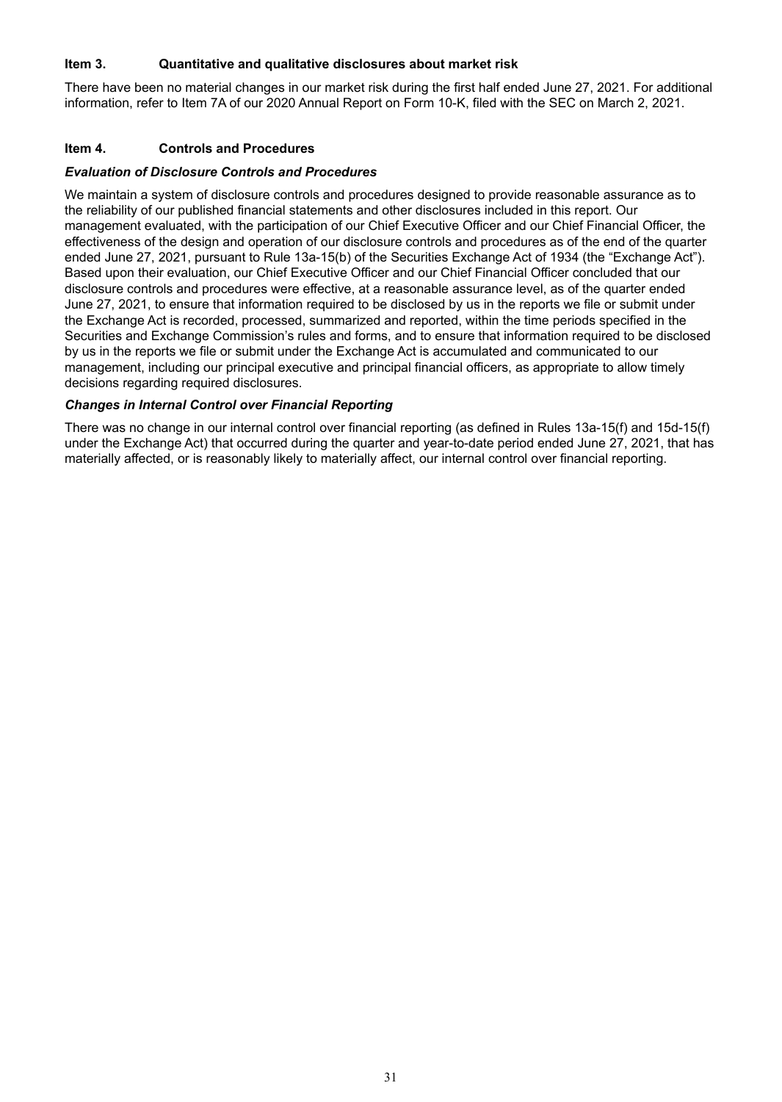# **Item 3. Quantitative and qualitative disclosures about market risk**

There have been no material changes in our market risk during the first half ended June 27, 2021. For additional information, refer to Item 7A of our 2020 Annual Report on Form 10-K, filed with the SEC on March 2, 2021.

#### **Item 4. Controls and Procedures**

#### *Evaluation of Disclosure Controls and Procedures*

We maintain a system of disclosure controls and procedures designed to provide reasonable assurance as to the reliability of our published financial statements and other disclosures included in this report. Our management evaluated, with the participation of our Chief Executive Officer and our Chief Financial Officer, the effectiveness of the design and operation of our disclosure controls and procedures as of the end of the quarter ended June 27, 2021, pursuant to Rule 13a-15(b) of the Securities Exchange Act of 1934 (the "Exchange Act"). Based upon their evaluation, our Chief Executive Officer and our Chief Financial Officer concluded that our disclosure controls and procedures were effective, at a reasonable assurance level, as of the quarter ended June 27, 2021, to ensure that information required to be disclosed by us in the reports we file or submit under the Exchange Act is recorded, processed, summarized and reported, within the time periods specified in the Securities and Exchange Commission's rules and forms, and to ensure that information required to be disclosed by us in the reports we file or submit under the Exchange Act is accumulated and communicated to our management, including our principal executive and principal financial officers, as appropriate to allow timely decisions regarding required disclosures.

#### *Changes in Internal Control over Financial Reporting*

There was no change in our internal control over financial reporting (as defined in Rules 13a-15(f) and 15d-15(f) under the Exchange Act) that occurred during the quarter and year-to-date period ended June 27, 2021, that has materially affected, or is reasonably likely to materially affect, our internal control over financial reporting.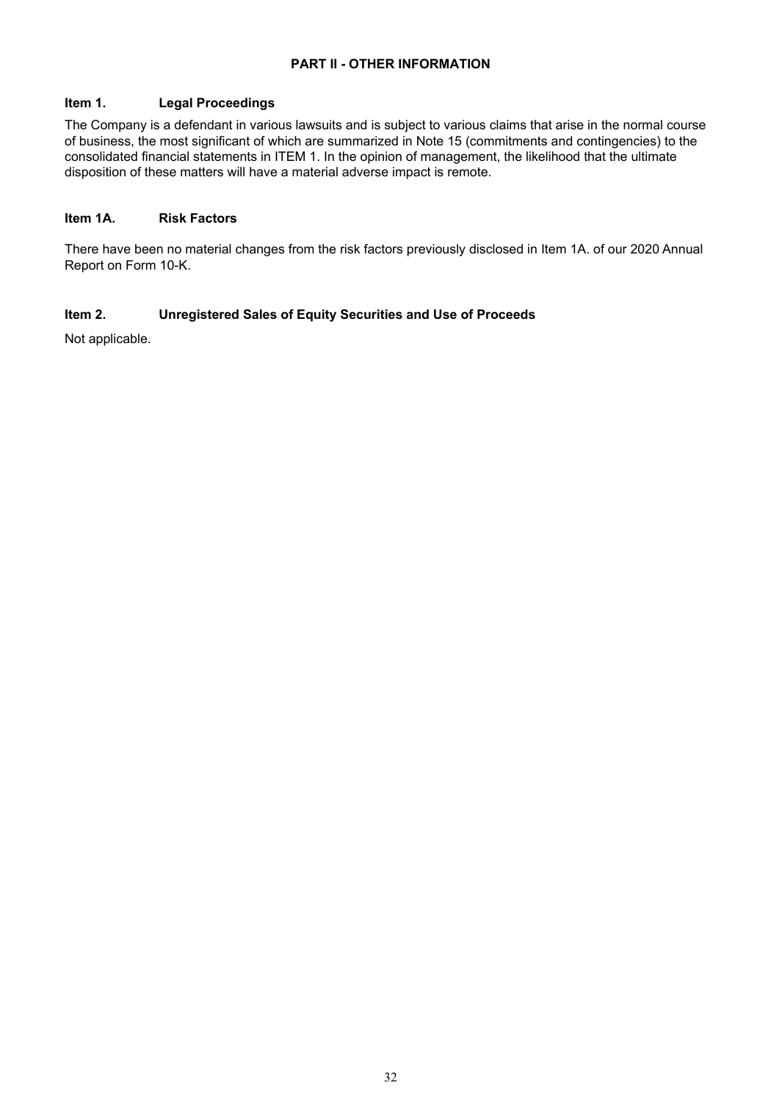# **PART II - OTHER INFORMATION**

# **Item 1. Legal Proceedings**

The Company is a defendant in various lawsuits and is subject to various claims that arise in the normal course of business, the most significant of which are summarized in Note 15 (commitments and contingencies) to the consolidated financial statements in ITEM 1. In the opinion of management, the likelihood that the ultimate disposition of these matters will have a material adverse impact is remote.

#### **Item 1A. Risk Factors**

There have been no material changes from the risk factors previously disclosed in Item 1A. of our 2020 Annual Report on Form 10-K.

# **Item 2. Unregistered Sales of Equity Securities and Use of Proceeds**

Not applicable.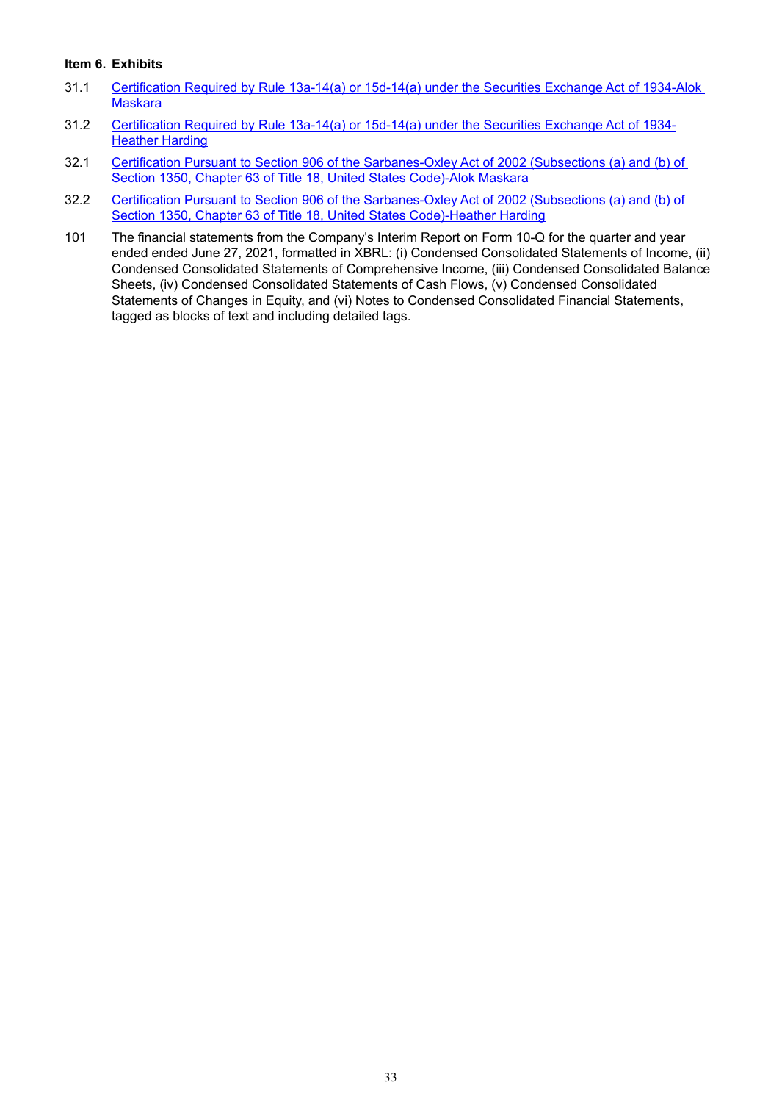# **Item 6. Exhibits**

- 31.1 [Certification Required by Rule 13a-14\(a\) or 15d-14\(a\) under the Securities Exchange Act of 1934-Alok](wurl://docs.v1/doc:eaadc5d76bed4576a42b4f3eb546ac42)  **[Maskara](wurl://docs.v1/doc:eaadc5d76bed4576a42b4f3eb546ac42)**
- 31.2 [Certification Required by Rule 13a-14\(a\) or 15d-14\(a\) under the Securities Exchange Act of 1934-](wurl://docs.v1/doc:6459dee9eee9492499c9a02d9d3c4d95) [Heather Harding](wurl://docs.v1/doc:6459dee9eee9492499c9a02d9d3c4d95)
- 32.1 [Certification Pursuant to Section 906 of the Sarbanes-Oxley Act of 2002 \(Subsections \(a\) and \(b\) of](wurl://docs.v1/doc:c4ef9033cd424d93b29b702b2f52d75f)  [Section 1350, Chapter 63 of Title 18, United States Code\)-Alok Maskara](wurl://docs.v1/doc:c4ef9033cd424d93b29b702b2f52d75f)
- 32.2 Certification Pursuant to Section 906 of the Sarbanes-Oxley Act of 2002 (Subsections (a) and (b) of [Section 1350, Chapter 63 of Title 18, United States Code\)-Heather Harding](wurl://docs.v1/doc:5891a06ac6f1438fa624df04e4b00005)
- 101 The financial statements from the Company's Interim Report on Form 10-Q for the quarter and year ended ended June 27, 2021, formatted in XBRL: (i) Condensed Consolidated Statements of Income, (ii) Condensed Consolidated Statements of Comprehensive Income, (iii) Condensed Consolidated Balance Sheets, (iv) Condensed Consolidated Statements of Cash Flows, (v) Condensed Consolidated Statements of Changes in Equity, and (vi) Notes to Condensed Consolidated Financial Statements, tagged as blocks of text and including detailed tags.